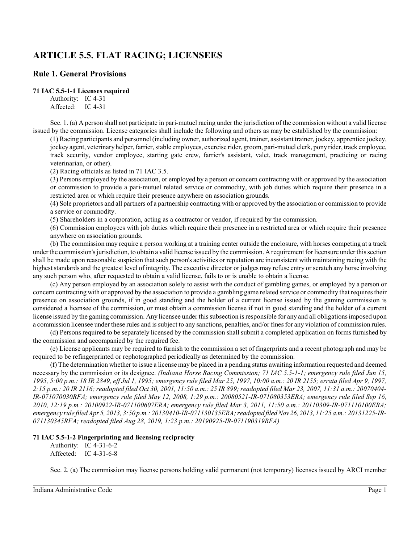# **ARTICLE 5.5. FLAT RACING; LICENSEES**

# **Rule 1. General Provisions**

# **71 IAC 5.5-1-1 Licenses required**

Authority: IC 4-31 Affected: IC 4-31

Sec. 1. (a) A person shall not participate in pari-mutuel racing under the jurisdiction of the commission without a valid license issued by the commission. License categories shall include the following and others as may be established by the commission:

(1) Racing participants and personnel (including owner, authorized agent, trainer, assistant trainer, jockey, apprentice jockey, jockey agent, veterinary helper, farrier, stable employees, exercise rider, groom, pari-mutuel clerk, pony rider, track employee, track security, vendor employee, starting gate crew, farrier's assistant, valet, track management, practicing or racing veterinarian, or other).

(2) Racing officials as listed in 71 IAC 3.5.

(3) Persons employed by the association, or employed by a person or concern contracting with or approved by the association or commission to provide a pari-mutuel related service or commodity, with job duties which require their presence in a restricted area or which require their presence anywhere on association grounds.

(4) Sole proprietors and all partners of a partnership contracting with or approved by the association or commission to provide a service or commodity.

(5) Shareholders in a corporation, acting as a contractor or vendor, if required by the commission.

(6) Commission employees with job duties which require their presence in a restricted area or which require their presence anywhere on association grounds.

(b) The commission may require a person working at a training center outside the enclosure, with horses competing at a track under the commission's jurisdiction, to obtain a valid license issued by the commission. A requirement for licensure under this section shall be made upon reasonable suspicion that such person's activities or reputation are inconsistent with maintaining racing with the highest standards and the greatest level of integrity. The executive director or judges may refuse entry or scratch any horse involving any such person who, after requested to obtain a valid license, fails to or is unable to obtain a license.

(c) Any person employed by an association solely to assist with the conduct of gambling games, or employed by a person or concern contracting with or approved by the association to provide a gambling game related service or commodity that requires their presence on association grounds, if in good standing and the holder of a current license issued by the gaming commission is considered a licensee of the commission, or must obtain a commission license if not in good standing and the holder of a current license issued by the gaming commission. Any licensee under thissubsection is responsible for any and all obligationsimposed upon a commission licensee under these rules and is subject to any sanctions, penalties, and/or fines for any violation of commission rules.

(d) Persons required to be separately licensed by the commission shall submit a completed application on forms furnished by the commission and accompanied by the required fee.

(e) License applicants may be required to furnish to the commission a set of fingerprints and a recent photograph and may be required to be refingerprinted or rephotographed periodically as determined by the commission.

(f) The determination whether to issue a license may be placed in a pending status awaiting information requested and deemed necessary by the commission or its designee. *(Indiana Horse Racing Commission; 71 IAC 5.5-1-1; emergency rule filed Jun 15, 1995, 5:00 p.m.: 18 IR 2849, eff Jul 1, 1995; emergency rule filed Mar 25, 1997, 10:00 a.m.: 20 IR 2155; errata filed Apr 9, 1997, 2:15 p.m.: 20 IR 2116; readopted filed Oct 30, 2001, 11:50 a.m.: 25 IR 899; readopted filed Mar 23, 2007, 11:31 a.m.: 20070404- IR-071070030RFA; emergency rule filed May 12, 2008, 1:29 p.m.: 20080521-IR-071080353ERA; emergency rule filed Sep 16, 2010, 12:19 p.m.: 20100922-IR-071100607ERA; emergency rule filed Mar 3, 2011, 11:50 a.m.: 20110309-IR-071110100ERA; emergency rule filed Apr 5, 2013, 3:50 p.m.: 20130410-IR-071130135ERA; readopted filed Nov26, 2013, 11:25 a.m.: 20131225-IR-071130345RFA; readopted filed Aug 28, 2019, 1:23 p.m.: 20190925-IR-071190319RFA)*

# **71 IAC 5.5-1-2 Fingerprinting and licensing reciprocity**

Authority: IC 4-31-6-2 Affected: IC 4-31-6-8

Sec. 2. (a) The commission may license persons holding valid permanent (not temporary) licenses issued by ARCI member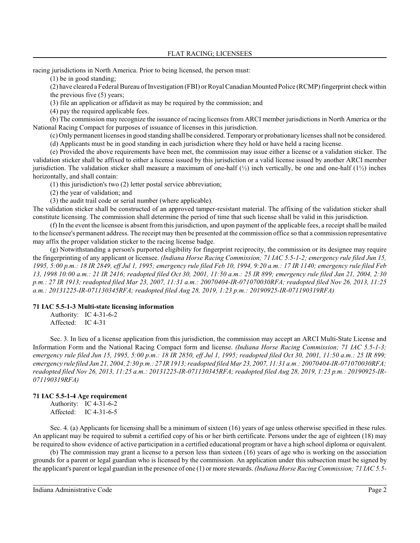racing jurisdictions in North America. Prior to being licensed, the person must:

(1) be in good standing;

(2) have cleared a Federal Bureau of Investigation (FBI) or Royal Canadian Mounted Police (RCMP) fingerprint check within the previous five (5) years;

(3) file an application or affidavit as may be required by the commission; and

(4) pay the required applicable fees.

(b) The commission may recognize the issuance of racing licenses from ARCI member jurisdictions in North America or the National Racing Compact for purposes of issuance of licenses in this jurisdiction.

(c) Only permanent licensesin good standing shall be considered. Temporary or probationary licensesshall not be considered.

(d) Applicants must be in good standing in each jurisdiction where they hold or have held a racing license.

(e) Provided the above requirements have been met, the commission may issue either a license or a validation sticker. The validation sticker shall be affixed to either a license issued by this jurisdiction or a valid license issued by another ARCI member jurisdiction. The validation sticker shall measure a maximum of one-half  $\binom{1}{2}$  inch vertically, be one and one-half  $\binom{1}{2}$  inches horizontally, and shall contain:

(1) this jurisdiction's two (2) letter postal service abbreviation;

(2) the year of validation; and

(3) the audit trail code or serial number (where applicable).

The validation sticker shall be constructed of an approved tamper-resistant material. The affixing of the validation sticker shall constitute licensing. The commission shall determine the period of time that such license shall be valid in this jurisdiction.

(f) In the event the licensee is absent from this jurisdiction, and upon payment of the applicable fees, a receipt shall be mailed to the licensee's permanent address. The receipt may then be presented at the commission office so that a commission representative may affix the proper validation sticker to the racing license badge.

(g) Notwithstanding a person's purported eligibility for fingerprint reciprocity, the commission or its designee may require the fingerprinting of any applicant or licensee. *(Indiana Horse Racing Commission; 71 IAC 5.5-1-2; emergency rule filed Jun 15, 1995, 5:00 p.m.: 18 IR 2849, eff Jul 1, 1995; emergency rule filed Feb 10, 1994, 9:20 a.m.: 17 IR 1140; emergency rule filed Feb 13, 1998 10:00 a.m.: 21 IR 2416; readopted filed Oct 30, 2001, 11:50 a.m.: 25 IR 899; emergency rule filed Jan 21, 2004, 2:30 p.m.: 27 IR 1913; readopted filed Mar 23, 2007, 11:31 a.m.: 20070404-IR-071070030RFA; readopted filed Nov 26, 2013, 11:25 a.m.: 20131225-IR-071130345RFA; readopted filed Aug 28, 2019, 1:23 p.m.: 20190925-IR-071190319RFA)*

# **71 IAC 5.5-1-3 Multi-state licensing information**

Authority: IC 4-31-6-2

Affected: IC 4-31

Sec. 3. In lieu of a license application from this jurisdiction, the commission may accept an ARCI Multi-State License and Information Form and the National Racing Compact form and license. *(Indiana Horse Racing Commission; 71 IAC 5.5-1-3; emergency rule filed Jun 15, 1995, 5:00 p.m.: 18 IR 2850, eff Jul 1, 1995; readopted filed Oct 30, 2001, 11:50 a.m.: 25 IR 899; emergency rule filed Jan 21, 2004, 2:30 p.m.: 27 IR 1913; readopted filed Mar 23, 2007, 11:31 a.m.: 20070404-IR-071070030RFA; readopted filed Nov 26, 2013, 11:25 a.m.: 20131225-IR-071130345RFA; readopted filed Aug 28, 2019, 1:23 p.m.: 20190925-IR-071190319RFA)*

# **71 IAC 5.5-1-4 Age requirement**

Authority: IC 4-31-6-2 Affected: IC 4-31-6-5

Sec. 4. (a) Applicants for licensing shall be a minimum of sixteen (16) years of age unless otherwise specified in these rules. An applicant may be required to submit a certified copy of his or her birth certificate. Persons under the age of eighteen (18) may be required to show evidence of active participation in a certified educational program or have a high school diploma or equivalent.

(b) The commission may grant a license to a person less than sixteen (16) years of age who is working on the association grounds for a parent or legal guardian who is licensed by the commission. An application under this subsection must be signed by the applicant's parent or legal guardian in the presence of one (1) or more stewards. *(Indiana Horse Racing Commission; 71 IAC 5.5-*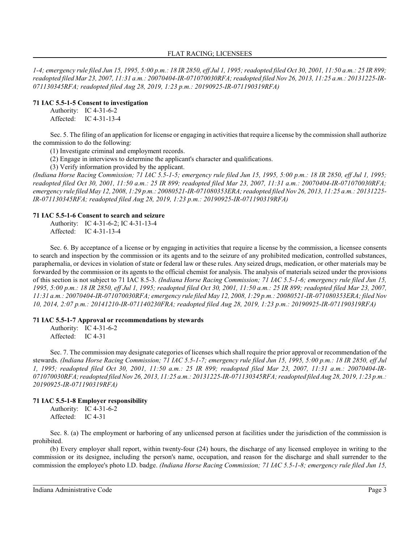*1-4; emergency rule filed Jun 15, 1995, 5:00 p.m.: 18 IR 2850, eff Jul 1, 1995; readopted filed Oct 30, 2001, 11:50 a.m.: 25 IR 899; readopted filed Mar 23, 2007, 11:31 a.m.: 20070404-IR-071070030RFA; readopted filed Nov 26, 2013, 11:25 a.m.: 20131225-IR-071130345RFA; readopted filed Aug 28, 2019, 1:23 p.m.: 20190925-IR-071190319RFA)*

#### **71 IAC 5.5-1-5 Consent to investigation**

Authority: IC 4-31-6-2 Affected: IC 4-31-13-4

Sec. 5. The filing of an application for license or engaging in activities that require a license by the commission shall authorize the commission to do the following:

(1) Investigate criminal and employment records.

(2) Engage in interviews to determine the applicant's character and qualifications.

(3) Verify information provided by the applicant.

*(Indiana Horse Racing Commission; 71 IAC 5.5-1-5; emergency rule filed Jun 15, 1995, 5:00 p.m.: 18 IR 2850, eff Jul 1, 1995; readopted filed Oct 30, 2001, 11:50 a.m.: 25 IR 899; readopted filed Mar 23, 2007, 11:31 a.m.: 20070404-IR-071070030RFA; emergency rule filed May 12, 2008, 1:29 p.m.: 20080521-IR-071080353ERA; readopted filed Nov 26, 2013, 11:25 a.m.: 20131225- IR-071130345RFA; readopted filed Aug 28, 2019, 1:23 p.m.: 20190925-IR-071190319RFA)*

#### **71 IAC 5.5-1-6 Consent to search and seizure**

Authority: IC 4-31-6-2; IC 4-31-13-4 Affected: IC 4-31-13-4

Sec. 6. By acceptance of a license or by engaging in activities that require a license by the commission, a licensee consents to search and inspection by the commission or its agents and to the seizure of any prohibited medication, controlled substances, paraphernalia, or devices in violation of state or federal law or these rules. Any seized drugs, medication, or other materials may be forwarded by the commission or its agents to the official chemist for analysis. The analysis of materials seized under the provisions of this section is not subject to 71 IAC 8.5-3. *(Indiana Horse Racing Commission; 71 IAC 5.5-1-6; emergency rule filed Jun 15, 1995, 5:00 p.m.: 18 IR 2850, eff Jul 1, 1995; readopted filed Oct 30, 2001, 11:50 a.m.: 25 IR 899; readopted filed Mar 23, 2007, 11:31 a.m.: 20070404-IR-071070030RFA; emergency rule filed May 12, 2008, 1:29 p.m.: 20080521-IR-071080353ERA; filed Nov 10, 2014, 2:07 p.m.: 20141210-IR-071140230FRA; readopted filed Aug 28, 2019, 1:23 p.m.: 20190925-IR-071190319RFA)*

# **71 IAC 5.5-1-7 Approval or recommendations by stewards**

Authority: IC 4-31-6-2 Affected: IC 4-31

Sec. 7. The commission may designate categories of licenses which shall require the prior approval or recommendation of the stewards. *(Indiana Horse Racing Commission; 71 IAC 5.5-1-7; emergency rule filed Jun 15, 1995, 5:00 p.m.: 18 IR 2850, eff Jul 1, 1995; readopted filed Oct 30, 2001, 11:50 a.m.: 25 IR 899; readopted filed Mar 23, 2007, 11:31 a.m.: 20070404-IR-071070030RFA; readopted filed Nov 26, 2013, 11:25 a.m.: 20131225-IR-071130345RFA; readopted filed Aug 28, 2019, 1:23 p.m.: 20190925-IR-071190319RFA)*

# **71 IAC 5.5-1-8 Employer responsibility**

Authority: IC 4-31-6-2 Affected: IC 4-31

Sec. 8. (a) The employment or harboring of any unlicensed person at facilities under the jurisdiction of the commission is prohibited.

(b) Every employer shall report, within twenty-four (24) hours, the discharge of any licensed employee in writing to the commission or its designee, including the person's name, occupation, and reason for the discharge and shall surrender to the commission the employee's photo I.D. badge. *(Indiana Horse Racing Commission; 71 IAC 5.5-1-8; emergency rule filed Jun 15,*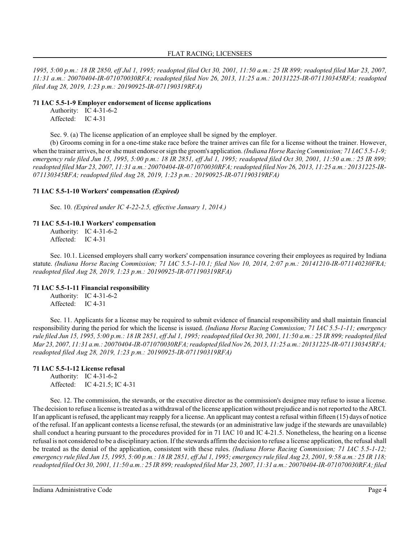*1995, 5:00 p.m.: 18 IR 2850, eff Jul 1, 1995; readopted filed Oct 30, 2001, 11:50 a.m.: 25 IR 899; readopted filed Mar 23, 2007, 11:31 a.m.: 20070404-IR-071070030RFA; readopted filed Nov 26, 2013, 11:25 a.m.: 20131225-IR-071130345RFA; readopted filed Aug 28, 2019, 1:23 p.m.: 20190925-IR-071190319RFA)*

#### **71 IAC 5.5-1-9 Employer endorsement of license applications**

Authority: IC 4-31-6-2 Affected: IC 4-31

Sec. 9. (a) The license application of an employee shall be signed by the employer.

(b) Grooms coming in for a one-time stake race before the trainer arrives can file for a license without the trainer. However, when the trainer arrives, he orshe must endorse orsign the groom's application. *(Indiana Horse Racing Commission; 71 IAC 5.5-1-9; emergency rule filed Jun 15, 1995, 5:00 p.m.: 18 IR 2851, eff Jul 1, 1995; readopted filed Oct 30, 2001, 11:50 a.m.: 25 IR 899; readopted filed Mar 23, 2007, 11:31 a.m.: 20070404-IR-071070030RFA; readopted filed Nov 26, 2013, 11:25 a.m.: 20131225-IR-071130345RFA; readopted filed Aug 28, 2019, 1:23 p.m.: 20190925-IR-071190319RFA)*

# **71 IAC 5.5-1-10 Workers' compensation** *(Expired)*

Sec. 10. *(Expired under IC 4-22-2.5, effective January 1, 2014.)*

# **71 IAC 5.5-1-10.1 Workers' compensation**

Authority: IC 4-31-6-2 Affected: IC 4-31

Sec. 10.1. Licensed employers shall carry workers' compensation insurance covering their employees as required by Indiana statute. *(Indiana Horse Racing Commission; 71 IAC 5.5-1-10.1; filed Nov 10, 2014, 2:07 p.m.: 20141210-IR-071140230FRA; readopted filed Aug 28, 2019, 1:23 p.m.: 20190925-IR-071190319RFA)*

# **71 IAC 5.5-1-11 Financial responsibility**

Authority: IC 4-31-6-2 Affected: IC 4-31

Sec. 11. Applicants for a license may be required to submit evidence of financial responsibility and shall maintain financial responsibility during the period for which the license is issued. *(Indiana Horse Racing Commission; 71 IAC 5.5-1-11; emergency rule filed Jun 15, 1995, 5:00 p.m.: 18 IR 2851, eff Jul 1, 1995; readopted filed Oct 30, 2001, 11:50 a.m.: 25 IR 899; readopted filed Mar 23, 2007, 11:31 a.m.: 20070404-IR-071070030RFA; readopted filed Nov 26, 2013, 11:25 a.m.: 20131225-IR-071130345RFA; readopted filed Aug 28, 2019, 1:23 p.m.: 20190925-IR-071190319RFA)*

# **71 IAC 5.5-1-12 License refusal**

Authority: IC 4-31-6-2 Affected: IC 4-21.5; IC 4-31

Sec. 12. The commission, the stewards, or the executive director as the commission's designee may refuse to issue a license. The decision to refuse a license is treated as a withdrawal of the license application without prejudice and is not reported to the ARCI. If an applicant is refused, the applicant may reapply for a license. An applicant may contest a refusal within fifteen (15) days of notice of the refusal. If an applicant contests a license refusal, the stewards (or an administrative law judge if the stewards are unavailable) shall conduct a hearing pursuant to the procedures provided for in 71 IAC 10 and IC 4-21.5. Nonetheless, the hearing on a license refusal is not considered to be a disciplinary action. If the stewards affirm the decision to refuse a license application, the refusal shall be treated as the denial of the application, consistent with these rules. *(Indiana Horse Racing Commission; 71 IAC 5.5-1-12; emergency rule filed Jun 15, 1995, 5:00 p.m.: 18 IR 2851, eff Jul 1, 1995; emergency rule filed Aug 23, 2001, 9:58 a.m.: 25 IR 118; readopted filed Oct 30, 2001, 11:50 a.m.: 25 IR 899;readopted filed Mar 23, 2007, 11:31 a.m.: 20070404-IR-071070030RFA; filed*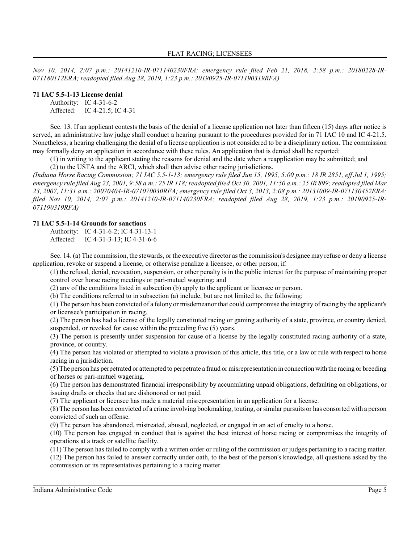*Nov 10, 2014, 2:07 p.m.: 20141210-IR-071140230FRA; emergency rule filed Feb 21, 2018, 2:58 p.m.: 20180228-IR-071180112ERA; readopted filed Aug 28, 2019, 1:23 p.m.: 20190925-IR-071190319RFA)*

# **71 IAC 5.5-1-13 License denial**

Authority: IC 4-31-6-2 Affected: IC 4-21.5; IC 4-31

Sec. 13. If an applicant contests the basis of the denial of a license application not later than fifteen (15) days after notice is served, an administrative law judge shall conduct a hearing pursuant to the procedures provided for in 71 IAC 10 and IC 4-21.5. Nonetheless, a hearing challenging the denial of a license application is not considered to be a disciplinary action. The commission may formally deny an application in accordance with these rules. An application that is denied shall be reported:

(1) in writing to the applicant stating the reasons for denial and the date when a reapplication may be submitted; and

(2) to the USTA and the ARCI, which shall then advise other racing jurisdictions.

*(Indiana Horse Racing Commission; 71 IAC 5.5-1-13; emergency rule filed Jun 15, 1995, 5:00 p.m.: 18 IR 2851, eff Jul 1, 1995; emergency rule filed Aug 23, 2001, 9:58 a.m.: 25 IR 118; readopted filed Oct 30, 2001, 11:50 a.m.: 25 IR 899; readopted filed Mar 23, 2007, 11:31 a.m.: 20070404-IR-071070030RFA; emergency rule filed Oct 3, 2013, 2:08 p.m.: 20131009-IR-071130452ERA; filed Nov 10, 2014, 2:07 p.m.: 20141210-IR-071140230FRA; readopted filed Aug 28, 2019, 1:23 p.m.: 20190925-IR-071190319RFA)*

# **71 IAC 5.5-1-14 Grounds for sanctions**

Authority: IC 4-31-6-2; IC 4-31-13-1 Affected: IC 4-31-3-13; IC 4-31-6-6

Sec. 14. (a) The commission, the stewards, or the executive director as the commission's designee may refuse or deny a license application, revoke or suspend a license, or otherwise penalize a licensee, or other person, if:

(1) the refusal, denial, revocation, suspension, or other penalty is in the public interest for the purpose of maintaining proper control over horse racing meetings or pari-mutuel wagering; and

(2) any of the conditions listed in subsection (b) apply to the applicant or licensee or person.

(b) The conditions referred to in subsection (a) include, but are not limited to, the following:

(1) The person has been convicted of a felony or misdemeanor that could compromise the integrity of racing by the applicant's or licensee's participation in racing.

(2) The person has had a license of the legally constituted racing or gaming authority of a state, province, or country denied, suspended, or revoked for cause within the preceding five (5) years.

(3) The person is presently under suspension for cause of a license by the legally constituted racing authority of a state, province, or country.

(4) The person has violated or attempted to violate a provision of this article, this title, or a law or rule with respect to horse racing in a jurisdiction.

(5) The person has perpetrated or attempted to perpetrate a fraud or misrepresentation in connection with the racing or breeding of horses or pari-mutuel wagering.

(6) The person has demonstrated financial irresponsibility by accumulating unpaid obligations, defaulting on obligations, or issuing drafts or checks that are dishonored or not paid.

(7) The applicant or licensee has made a material misrepresentation in an application for a license.

(8) The person has been convicted of a crime involving bookmaking, touting, orsimilar pursuits or has consorted with a person convicted of such an offense.

(9) The person has abandoned, mistreated, abused, neglected, or engaged in an act of cruelty to a horse.

(10) The person has engaged in conduct that is against the best interest of horse racing or compromises the integrity of operations at a track or satellite facility.

(11) The person has failed to comply with a written order or ruling of the commission or judges pertaining to a racing matter. (12) The person has failed to answer correctly under oath, to the best of the person's knowledge, all questions asked by the commission or its representatives pertaining to a racing matter.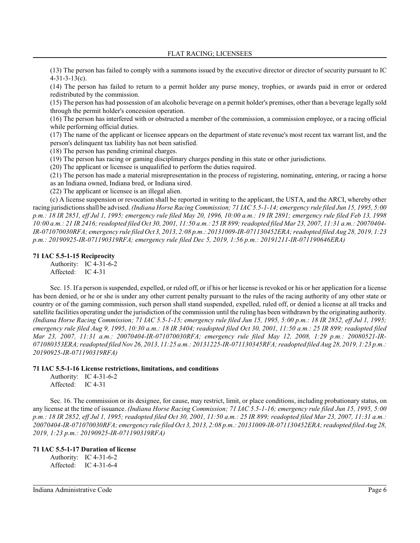(13) The person has failed to comply with a summons issued by the executive director or director of security pursuant to IC 4-31-3-13(c).

(14) The person has failed to return to a permit holder any purse money, trophies, or awards paid in error or ordered redistributed by the commission.

(15) The person has had possession of an alcoholic beverage on a permit holder's premises, other than a beverage legally sold through the permit holder's concession operation.

(16) The person has interfered with or obstructed a member of the commission, a commission employee, or a racing official while performing official duties.

(17) The name of the applicant or licensee appears on the department of state revenue's most recent tax warrant list, and the person's delinquent tax liability has not been satisfied.

(18) The person has pending criminal charges.

(19) The person has racing or gaming disciplinary charges pending in this state or other jurisdictions.

(20) The applicant or licensee is unqualified to perform the duties required.

(21) The person has made a material misrepresentation in the process of registering, nominating, entering, or racing a horse as an Indiana owned, Indiana bred, or Indiana sired.

(22) The applicant or licensee is an illegal alien.

(c) A license suspension or revocation shall be reported in writing to the applicant, the USTA, and the ARCI, whereby other racing jurisdictions shall be advised. *(Indiana Horse Racing Commission; 71 IAC 5.5-1-14; emergency rule filed Jun 15, 1995, 5:00 p.m.: 18 IR 2851, eff Jul 1, 1995; emergency rule filed May 20, 1996, 10:00 a.m.: 19 IR 2891; emergency rule filed Feb 13, 1998 10:00 a.m.: 21 IR 2416; readopted filed Oct 30, 2001, 11:50 a.m.: 25 IR 899;readopted filed Mar 23, 2007, 11:31 a.m.: 20070404- IR-071070030RFA; emergency rule filed Oct 3, 2013, 2:08 p.m.: 20131009-IR-071130452ERA; readopted filed Aug 28, 2019, 1:23 p.m.: 20190925-IR-071190319RFA; emergency rule filed Dec 5, 2019, 1:56 p.m.: 20191211-IR-071190646ERA)*

#### **71 IAC 5.5-1-15 Reciprocity**

Authority: IC 4-31-6-2 Affected: IC 4-31

Sec. 15. If a person is suspended, expelled, or ruled off, or if his or her license is revoked or his or her application for a license has been denied, or he or she is under any other current penalty pursuant to the rules of the racing authority of any other state or country or of the gaming commission, such person shall stand suspended, expelled, ruled off, or denied a license at all tracks and satellite facilities operating under the jurisdiction of the commission until the ruling has been withdrawn by the originating authority. *(Indiana Horse Racing Commission; 71 IAC 5.5-1-15; emergency rule filed Jun 15, 1995, 5:00 p.m.: 18 IR 2852, eff Jul 1, 1995; emergency rule filed Aug 9, 1995, 10:30 a.m.: 18 IR 3404; readopted filed Oct 30, 2001, 11:50 a.m.: 25 IR 899; readopted filed Mar 23, 2007, 11:31 a.m.: 20070404-IR-071070030RFA; emergency rule filed May 12, 2008, 1:29 p.m.: 20080521-IR-071080353ERA; readopted filed Nov 26, 2013, 11:25 a.m.: 20131225-IR-071130345RFA; readopted filed Aug 28, 2019, 1:23 p.m.: 20190925-IR-071190319RFA)*

#### **71 IAC 5.5-1-16 License restrictions, limitations, and conditions**

Authority: IC 4-31-6-2 Affected: IC 4-31

Sec. 16. The commission or its designee, for cause, may restrict, limit, or place conditions, including probationary status, on any license at the time of issuance. *(Indiana Horse Racing Commission; 71 IAC 5.5-1-16; emergency rule filed Jun 15, 1995, 5:00 p.m.: 18 IR 2852, eff Jul 1, 1995; readopted filed Oct 30, 2001, 11:50 a.m.: 25 IR 899; readopted filed Mar 23, 2007, 11:31 a.m.: 20070404-IR-071070030RFA; emergency rule filed Oct 3, 2013, 2:08 p.m.: 20131009-IR-071130452ERA; readopted filed Aug 28, 2019, 1:23 p.m.: 20190925-IR-071190319RFA)*

#### **71 IAC 5.5-1-17 Duration of license**

Authority: IC 4-31-6-2 Affected: IC 4-31-6-4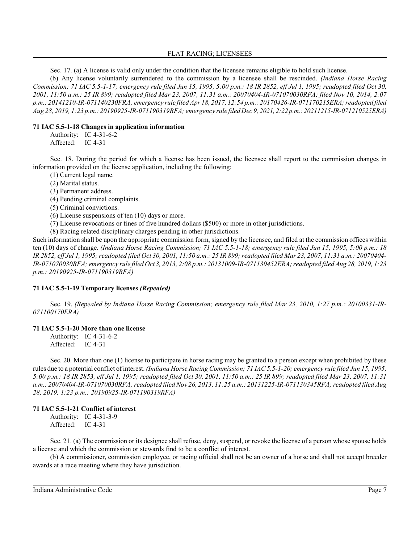Sec. 17. (a) A license is valid only under the condition that the licensee remains eligible to hold such license.

(b) Any license voluntarily surrendered to the commission by a licensee shall be rescinded. *(Indiana Horse Racing Commission; 71 IAC 5.5-1-17; emergency rule filed Jun 15, 1995, 5:00 p.m.: 18 IR 2852, eff Jul 1, 1995; readopted filed Oct 30, 2001, 11:50 a.m.: 25 IR 899; readopted filed Mar 23, 2007, 11:31 a.m.: 20070404-IR-071070030RFA; filed Nov 10, 2014, 2:07 p.m.: 20141210-IR-071140230FRA; emergency rule filed Apr 18, 2017, 12:54 p.m.: 20170426-IR-071170215ERA; readopted filed Aug 28, 2019, 1:23 p.m.: 20190925-IR-071190319RFA; emergency rule filed Dec 9, 2021, 2:22 p.m.: 20211215-IR-071210525ERA)*

#### **71 IAC 5.5-1-18 Changes in application information**

Authority: IC 4-31-6-2 Affected: IC 4-31

Sec. 18. During the period for which a license has been issued, the licensee shall report to the commission changes in information provided on the license application, including the following:

(1) Current legal name.

(2) Marital status.

(3) Permanent address.

(4) Pending criminal complaints.

(5) Criminal convictions.

(6) License suspensions of ten (10) days or more.

(7) License revocations or fines of five hundred dollars (\$500) or more in other jurisdictions.

(8) Racing related disciplinary charges pending in other jurisdictions.

Such information shall be upon the appropriate commission form, signed by the licensee, and filed at the commission offices within ten (10) days of change. *(Indiana Horse Racing Commission; 71 IAC 5.5-1-18; emergency rule filed Jun 15, 1995, 5:00 p.m.: 18 IR 2852, eff Jul 1, 1995; readopted filed Oct 30, 2001, 11:50 a.m.: 25 IR 899;readopted filed Mar 23, 2007, 11:31 a.m.: 20070404- IR-071070030RFA; emergency rule filed Oct 3, 2013, 2:08 p.m.: 20131009-IR-071130452ERA; readopted filed Aug 28, 2019, 1:23 p.m.: 20190925-IR-071190319RFA)*

# **71 IAC 5.5-1-19 Temporary licenses** *(Repealed)*

Sec. 19. *(Repealed by Indiana Horse Racing Commission; emergency rule filed Mar 23, 2010, 1:27 p.m.: 20100331-IR-071100170ERA)*

# **71 IAC 5.5-1-20 More than one license**

Authority: IC 4-31-6-2 Affected: IC 4-31

Sec. 20. More than one (1) license to participate in horse racing may be granted to a person except when prohibited by these rules due to a potential conflict of interest. *(Indiana Horse Racing Commission; 71 IAC 5.5-1-20; emergency rule filed Jun 15, 1995, 5:00 p.m.: 18 IR 2853, eff Jul 1, 1995; readopted filed Oct 30, 2001, 11:50 a.m.: 25 IR 899; readopted filed Mar 23, 2007, 11:31 a.m.: 20070404-IR-071070030RFA; readopted filed Nov 26, 2013, 11:25 a.m.: 20131225-IR-071130345RFA; readopted filed Aug 28, 2019, 1:23 p.m.: 20190925-IR-071190319RFA)*

# **71 IAC 5.5-1-21 Conflict of interest**

Authority: IC 4-31-3-9 Affected: IC 4-31

Sec. 21. (a) The commission or its designee shall refuse, deny, suspend, or revoke the license of a person whose spouse holds a license and which the commission or stewards find to be a conflict of interest.

(b) A commissioner, commission employee, or racing official shall not be an owner of a horse and shall not accept breeder awards at a race meeting where they have jurisdiction.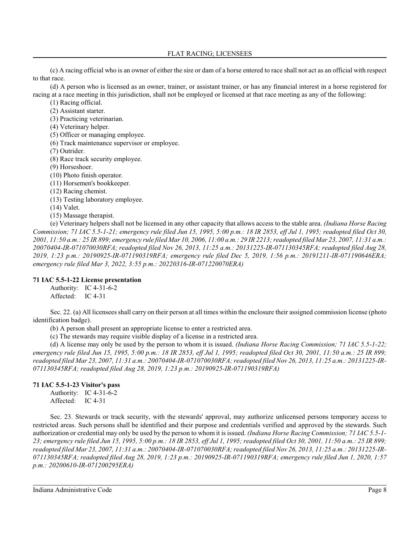(c) A racing official who is an owner of either the sire or dam of a horse entered to race shall not act as an official with respect to that race.

(d) A person who is licensed as an owner, trainer, or assistant trainer, or has any financial interest in a horse registered for racing at a race meeting in this jurisdiction, shall not be employed or licensed at that race meeting as any of the following:

(1) Racing official.

(2) Assistant starter.

(3) Practicing veterinarian.

(4) Veterinary helper.

(5) Officer or managing employee.

(6) Track maintenance supervisor or employee.

(7) Outrider.

(8) Race track security employee.

(9) Horseshoer.

(10) Photo finish operator.

(11) Horsemen's bookkeeper.

(12) Racing chemist.

(13) Testing laboratory employee.

(14) Valet.

(15) Massage therapist.

(e) Veterinary helpers shall not be licensed in any other capacity that allows access to the stable area. *(Indiana Horse Racing Commission; 71 IAC 5.5-1-21; emergency rule filed Jun 15, 1995, 5:00 p.m.: 18 IR 2853, eff Jul 1, 1995; readopted filed Oct 30, 2001, 11:50 a.m.: 25 IR 899; emergency rule filed Mar 10, 2006, 11:00 a.m.: 29 IR 2213; readopted filed Mar 23, 2007, 11:31 a.m.: 20070404-IR-071070030RFA; readopted filed Nov 26, 2013, 11:25 a.m.: 20131225-IR-071130345RFA; readopted filed Aug 28, 2019, 1:23 p.m.: 20190925-IR-071190319RFA; emergency rule filed Dec 5, 2019, 1:56 p.m.: 20191211-IR-071190646ERA; emergency rule filed Mar 3, 2022, 3:55 p.m.: 20220316-IR-071220070ERA)*

# **71 IAC 5.5-1-22 License presentation**

Authority: IC 4-31-6-2 Affected: IC 4-31

Sec. 22. (a) All licensees shall carry on their person at all times within the enclosure their assigned commission license (photo identification badge).

(b) A person shall present an appropriate license to enter a restricted area.

(c) The stewards may require visible display of a license in a restricted area.

(d) A license may only be used by the person to whom it is issued. *(Indiana Horse Racing Commission; 71 IAC 5.5-1-22; emergency rule filed Jun 15, 1995, 5:00 p.m.: 18 IR 2853, eff Jul 1, 1995; readopted filed Oct 30, 2001, 11:50 a.m.: 25 IR 899; readopted filed Mar 23, 2007, 11:31 a.m.: 20070404-IR-071070030RFA; readopted filed Nov 26, 2013, 11:25 a.m.: 20131225-IR-071130345RFA; readopted filed Aug 28, 2019, 1:23 p.m.: 20190925-IR-071190319RFA)*

# **71 IAC 5.5-1-23 Visitor's pass**

Authority: IC 4-31-6-2 Affected: IC 4-31

Sec. 23. Stewards or track security, with the stewards' approval, may authorize unlicensed persons temporary access to restricted areas. Such persons shall be identified and their purpose and credentials verified and approved by the stewards. Such authorization or credential may only be used by the person to whom it is issued. *(Indiana Horse Racing Commission; 71 IAC 5.5-1- 23; emergency rule filed Jun 15, 1995, 5:00 p.m.: 18 IR 2853, eff Jul 1, 1995; readopted filed Oct 30, 2001, 11:50 a.m.: 25 IR 899; readopted filed Mar 23, 2007, 11:31 a.m.: 20070404-IR-071070030RFA; readopted filed Nov 26, 2013, 11:25 a.m.: 20131225-IR-071130345RFA; readopted filed Aug 28, 2019, 1:23 p.m.: 20190925-IR-071190319RFA; emergency rule filed Jun 1, 2020, 1:57 p.m.: 20200610-IR-071200295ERA)*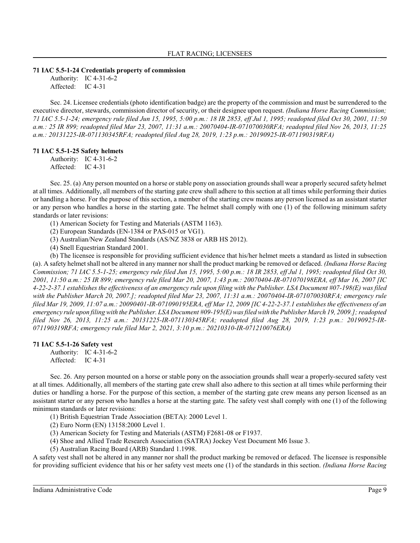#### **71 IAC 5.5-1-24 Credentials property of commission**

Authority: IC 4-31-6-2 Affected: IC 4-31

Sec. 24. Licensee credentials (photo identification badge) are the property of the commission and must be surrendered to the executive director, stewards, commission director of security, or their designee upon request. *(Indiana Horse Racing Commission; 71 IAC 5.5-1-24; emergency rule filed Jun 15, 1995, 5:00 p.m.: 18 IR 2853, eff Jul 1, 1995; readopted filed Oct 30, 2001, 11:50 a.m.: 25 IR 899; readopted filed Mar 23, 2007, 11:31 a.m.: 20070404-IR-071070030RFA; readopted filed Nov 26, 2013, 11:25 a.m.: 20131225-IR-071130345RFA; readopted filed Aug 28, 2019, 1:23 p.m.: 20190925-IR-071190319RFA)*

# **71 IAC 5.5-1-25 Safety helmets**

Authority: IC 4-31-6-2 Affected: IC 4-31

Sec. 25. (a) Any person mounted on a horse or stable pony on association grounds shall wear a properly secured safety helmet at all times. Additionally, all members of the starting gate crew shall adhere to this section at all times while performing their duties or handling a horse. For the purpose of this section, a member of the starting crew means any person licensed as an assistant starter or any person who handles a horse in the starting gate. The helmet shall comply with one (1) of the following minimum safety standards or later revisions:

(1) American Society for Testing and Materials (ASTM 1163).

- (2) European Standards (EN-1384 or PAS-015 or VG1).
- (3) Australian/New Zealand Standards (AS/NZ 3838 or ARB HS 2012).
- (4) Snell Equestrian Standard 2001.

(b) The licensee is responsible for providing sufficient evidence that his/her helmet meets a standard as listed in subsection (a). A safety helmet shall not be altered in any manner nor shall the product marking be removed or defaced. *(Indiana Horse Racing Commission; 71 IAC 5.5-1-25; emergency rule filed Jun 15, 1995, 5:00 p.m.: 18 IR 2853, eff Jul 1, 1995; readopted filed Oct 30, 2001, 11:50 a.m.: 25 IR 899; emergency rule filed Mar 20, 2007, 1:43 p.m.: 20070404-IR-071070198ERA, eff Mar 16, 2007 [IC 4-22-2-37.1 establishes the effectiveness of an emergency rule upon filing with the Publisher. LSA Document #07-198(E) was filed with the Publisher March 20, 2007.]; readopted filed Mar 23, 2007, 11:31 a.m.: 20070404-IR-071070030RFA; emergency rule filed Mar 19, 2009, 11:07 a.m.: 20090401-IR-071090195ERA, eff Mar 12, 2009 [IC 4-22-2-37.1 establishes the effectiveness of an emergency rule upon filing with the Publisher. LSA Document #09-195(E)was filed with the Publisher March 19, 2009.]; readopted filed Nov 26, 2013, 11:25 a.m.: 20131225-IR-071130345RFA; readopted filed Aug 28, 2019, 1:23 p.m.: 20190925-IR-071190319RFA; emergency rule filed Mar 2, 2021, 3:10 p.m.: 20210310-IR-071210076ERA)*

#### **71 IAC 5.5-1-26 Safety vest**

Authority: IC 4-31-6-2 Affected: IC 4-31

Sec. 26. Any person mounted on a horse or stable pony on the association grounds shall wear a properly-secured safety vest at all times. Additionally, all members of the starting gate crew shall also adhere to this section at all times while performing their duties or handling a horse. For the purpose of this section, a member of the starting gate crew means any person licensed as an assistant starter or any person who handles a horse at the starting gate. The safety vest shall comply with one (1) of the following minimum standards or later revisions:

(1) British Equestrian Trade Association (BETA): 2000 Level 1.

(2) Euro Norm (EN) 13158:2000 Level 1.

(3) American Society for Testing and Materials (ASTM) F2681-08 or F1937.

(4) Shoe and Allied Trade Research Association (SATRA) Jockey Vest Document M6 Issue 3.

(5) Australian Racing Board (ARB) Standard 1.1998.

A safety vest shall not be altered in any manner nor shall the product marking be removed or defaced. The licensee is responsible for providing sufficient evidence that his or her safety vest meets one (1) of the standards in this section. *(Indiana Horse Racing*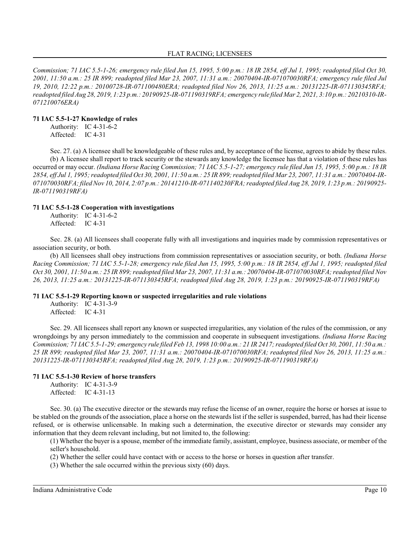*Commission; 71 IAC 5.5-1-26; emergency rule filed Jun 15, 1995, 5:00 p.m.: 18 IR 2854, eff Jul 1, 1995; readopted filed Oct 30, 2001, 11:50 a.m.: 25 IR 899; readopted filed Mar 23, 2007, 11:31 a.m.: 20070404-IR-071070030RFA; emergency rule filed Jul 19, 2010, 12:22 p.m.: 20100728-IR-071100480ERA; readopted filed Nov 26, 2013, 11:25 a.m.: 20131225-IR-071130345RFA; readopted filed Aug 28, 2019, 1:23 p.m.: 20190925-IR-071190319RFA; emergency rule filed Mar 2, 2021, 3:10 p.m.: 20210310-IR-071210076ERA)*

### **71 IAC 5.5-1-27 Knowledge of rules**

Authority: IC 4-31-6-2 Affected: IC 4-31

Sec. 27. (a) A licensee shall be knowledgeable of these rules and, by acceptance of the license, agrees to abide by these rules. (b) A licensee shall report to track security or the stewards any knowledge the licensee has that a violation of these rules has occurred or may occur. *(Indiana Horse Racing Commission; 71 IAC 5.5-1-27; emergency rule filed Jun 15, 1995, 5:00 p.m.: 18 IR* 2854, eff Jul 1, 1995; readopted filed Oct 30, 2001, 11:50 a.m.: 25 IR 899; readopted filed Mar 23, 2007, 11:31 a.m.: 20070404-IR-*071070030RFA; filed Nov 10, 2014, 2:07 p.m.: 20141210-IR-071140230FRA; readopted filed Aug 28, 2019, 1:23 p.m.: 20190925- IR-071190319RFA)*

#### **71 IAC 5.5-1-28 Cooperation with investigations**

Authority: IC 4-31-6-2 Affected: IC 4-31

Sec. 28. (a) All licensees shall cooperate fully with all investigations and inquiries made by commission representatives or association security, or both.

(b) All licensees shall obey instructions from commission representatives or association security, or both. *(Indiana Horse Racing Commission; 71 IAC 5.5-1-28; emergency rule filed Jun 15, 1995, 5:00 p.m.: 18 IR 2854, eff Jul 1, 1995; readopted filed Oct 30, 2001, 11:50 a.m.: 25 IR 899;readopted filed Mar 23, 2007, 11:31 a.m.: 20070404-IR-071070030RFA; readopted filed Nov 26, 2013, 11:25 a.m.: 20131225-IR-071130345RFA; readopted filed Aug 28, 2019, 1:23 p.m.: 20190925-IR-071190319RFA)*

# **71 IAC 5.5-1-29 Reporting known or suspected irregularities and rule violations**

Authority: IC 4-31-3-9 Affected: IC 4-31

Sec. 29. All licensees shall report any known or suspected irregularities, any violation of the rules of the commission, or any wrongdoings by any person immediately to the commission and cooperate in subsequent investigations. *(Indiana Horse Racing Commission; 71 IAC 5.5-1-29; emergency rule filed Feb 13, 1998 10:00 a.m.: 21 IR 2417; readopted filed Oct 30, 2001, 11:50 a.m.: 25 IR 899; readopted filed Mar 23, 2007, 11:31 a.m.: 20070404-IR-071070030RFA; readopted filed Nov 26, 2013, 11:25 a.m.: 20131225-IR-071130345RFA; readopted filed Aug 28, 2019, 1:23 p.m.: 20190925-IR-071190319RFA)*

# **71 IAC 5.5-1-30 Review of horse transfers**

Authority: IC 4-31-3-9 Affected: IC 4-31-13

Sec. 30. (a) The executive director or the stewards may refuse the license of an owner, require the horse or horses at issue to be stabled on the grounds of the association, place a horse on the stewards list if the seller is suspended, barred, has had their license refused, or is otherwise unlicensable. In making such a determination, the executive director or stewards may consider any information that they deem relevant including, but not limited to, the following:

(1) Whether the buyer is a spouse, member of the immediate family, assistant, employee, business associate, or member of the seller's household.

(2) Whether the seller could have contact with or access to the horse or horses in question after transfer.

(3) Whether the sale occurred within the previous sixty (60) days.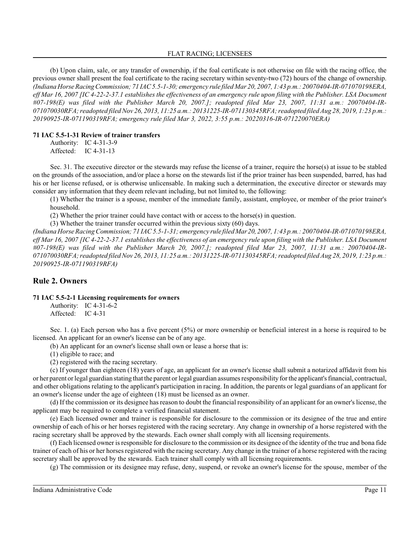(b) Upon claim, sale, or any transfer of ownership, if the foal certificate is not otherwise on file with the racing office, the previous owner shall present the foal certificate to the racing secretary within seventy-two (72) hours of the change of ownership. *(Indiana Horse RacingCommission; 71 IAC 5.5-1-30; emergency rule filed Mar 20, 2007, 1:43 p.m.: 20070404-IR-071070198ERA, eff Mar 16, 2007 [IC 4-22-2-37.1 establishes the effectiveness of an emergency rule upon filing with the Publisher. LSA Document #07-198(E) was filed with the Publisher March 20, 2007.]; readopted filed Mar 23, 2007, 11:31 a.m.: 20070404-IR-071070030RFA; readopted filed Nov 26, 2013, 11:25 a.m.: 20131225-IR-071130345RFA; readopted filed Aug 28, 2019, 1:23 p.m.: 20190925-IR-071190319RFA; emergency rule filed Mar 3, 2022, 3:55 p.m.: 20220316-IR-071220070ERA)*

#### **71 IAC 5.5-1-31 Review of trainer transfers**

Authority: IC 4-31-3-9 Affected: IC 4-31-13

Sec. 31. The executive director or the stewards may refuse the license of a trainer, require the horse(s) at issue to be stabled on the grounds of the association, and/or place a horse on the stewards list if the prior trainer has been suspended, barred, has had his or her license refused, or is otherwise unlicensable. In making such a determination, the executive director or stewards may consider any information that they deem relevant including, but not limited to, the following:

(1) Whether the trainer is a spouse, member of the immediate family, assistant, employee, or member of the prior trainer's household.

(2) Whether the prior trainer could have contact with or access to the horse(s) in question.

(3) Whether the trainer transfer occurred within the previous sixty (60) days.

*(Indiana Horse RacingCommission; 71 IAC 5.5-1-31; emergency rule filed Mar20, 2007, 1:43 p.m.: 20070404-IR-071070198ERA, eff Mar 16, 2007 [IC 4-22-2-37.1 establishes the effectiveness of an emergency rule upon filing with the Publisher. LSA Document #07-198(E) was filed with the Publisher March 20, 2007.]; readopted filed Mar 23, 2007, 11:31 a.m.: 20070404-IR-071070030RFA; readopted filed Nov 26, 2013, 11:25 a.m.: 20131225-IR-071130345RFA; readopted filed Aug 28, 2019, 1:23 p.m.: 20190925-IR-071190319RFA)*

# **Rule 2. Owners**

#### **71 IAC 5.5-2-1 Licensing requirements for owners**

Authority: IC 4-31-6-2 Affected: IC 4-31

Sec. 1. (a) Each person who has a five percent (5%) or more ownership or beneficial interest in a horse is required to be licensed. An applicant for an owner's license can be of any age.

(b) An applicant for an owner's license shall own or lease a horse that is:

(1) eligible to race; and

(2) registered with the racing secretary.

(c) If younger than eighteen (18) years of age, an applicant for an owner's license shall submit a notarized affidavit from his or her parent orlegal guardian stating that the parent or legal guardian assumes responsibility for the applicant's financial, contractual, and other obligations relating to the applicant's participation in racing. In addition, the parents or legal guardians of an applicant for an owner's license under the age of eighteen (18) must be licensed as an owner.

(d) If the commission or its designee has reason to doubt the financial responsibility of an applicant for an owner's license, the applicant may be required to complete a verified financial statement.

(e) Each licensed owner and trainer is responsible for disclosure to the commission or its designee of the true and entire ownership of each of his or her horses registered with the racing secretary. Any change in ownership of a horse registered with the racing secretary shall be approved by the stewards. Each owner shall comply with all licensing requirements.

(f) Each licensed owner is responsible for disclosure to the commission or its designee of the identity of the true and bona fide trainer of each of his or her horses registered with the racing secretary. Any change in the trainer of a horse registered with the racing secretary shall be approved by the stewards. Each trainer shall comply with all licensing requirements.

(g) The commission or its designee may refuse, deny, suspend, or revoke an owner's license for the spouse, member of the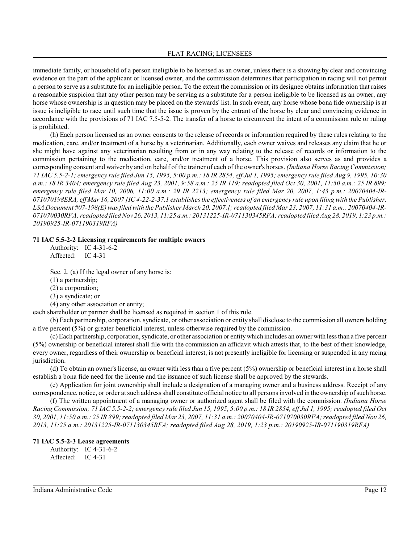immediate family, or household of a person ineligible to be licensed as an owner, unless there is a showing by clear and convincing evidence on the part of the applicant or licensed owner, and the commission determines that participation in racing will not permit a person to serve as a substitute for an ineligible person. To the extent the commission or its designee obtains information that raises a reasonable suspicion that any other person may be serving as a substitute for a person ineligible to be licensed as an owner, any horse whose ownership is in question may be placed on the stewards' list. In such event, any horse whose bona fide ownership is at issue is ineligible to race until such time that the issue is proven by the entrant of the horse by clear and convincing evidence in accordance with the provisions of 71 IAC 7.5-5-2. The transfer of a horse to circumvent the intent of a commission rule or ruling is prohibited.

(h) Each person licensed as an owner consents to the release of records or information required by these rules relating to the medication, care, and/or treatment of a horse by a veterinarian. Additionally, each owner waives and releases any claim that he or she might have against any veterinarian resulting from or in any way relating to the release of records or information to the commission pertaining to the medication, care, and/or treatment of a horse. This provision also serves as and provides a corresponding consent and waiver by and on behalf of the trainer of each of the owner's horses. *(Indiana Horse Racing Commission; 71 IAC 5.5-2-1; emergency rule filed Jun 15, 1995, 5:00 p.m.: 18 IR 2854, eff Jul 1, 1995; emergency rule filed Aug 9, 1995, 10:30 a.m.: 18 IR 3404; emergency rule filed Aug 23, 2001, 9:58 a.m.: 25 IR 119; readopted filed Oct 30, 2001, 11:50 a.m.: 25 IR 899; emergency rule filed Mar 10, 2006, 11:00 a.m.: 29 IR 2213; emergency rule filed Mar 20, 2007, 1:43 p.m.: 20070404-IR-071070198ERA, eff Mar 16, 2007 [IC 4-22-2-37.1 establishes the effectiveness of an emergency rule upon filing with the Publisher. LSA Document #07-198(E)was filed with the Publisher March 20, 2007.]; readopted filed Mar 23, 2007, 11:31 a.m.: 20070404-IR-071070030RFA; readopted filed Nov 26, 2013, 11:25 a.m.: 20131225-IR-071130345RFA; readopted filed Aug 28, 2019, 1:23 p.m.: 20190925-IR-071190319RFA)*

#### **71 IAC 5.5-2-2 Licensing requirements for multiple owners**

Authority: IC 4-31-6-2 Affected: IC 4-31

Sec. 2. (a) If the legal owner of any horse is:

(1) a partnership;

(2) a corporation;

(3) a syndicate; or

(4) any other association or entity;

each shareholder or partner shall be licensed as required in section 1 of this rule.

(b) Each partnership, corporation, syndicate, or other association or entity shall disclose to the commission all owners holding a five percent (5%) or greater beneficial interest, unless otherwise required by the commission.

(c) Each partnership, corporation, syndicate, or other association or entitywhich includes an owner with less than a five percent (5%) ownership or beneficial interest shall file with the commission an affidavit which attests that, to the best of their knowledge, every owner, regardless of their ownership or beneficial interest, is not presently ineligible for licensing or suspended in any racing jurisdiction.

(d) To obtain an owner's license, an owner with less than a five percent (5%) ownership or beneficial interest in a horse shall establish a bona fide need for the license and the issuance of such license shall be approved by the stewards.

(e) Application for joint ownership shall include a designation of a managing owner and a business address. Receipt of any correspondence, notice, or order at such address shall constitute official notice to all persons involved in the ownership of such horse.

(f) The written appointment of a managing owner or authorized agent shall be filed with the commission. *(Indiana Horse Racing Commission; 71 IAC 5.5-2-2; emergency rule filed Jun 15, 1995, 5:00 p.m.: 18 IR 2854, eff Jul 1, 1995; readopted filed Oct 30, 2001, 11:50 a.m.: 25 IR 899;readopted filed Mar 23, 2007, 11:31 a.m.: 20070404-IR-071070030RFA; readopted filed Nov 26, 2013, 11:25 a.m.: 20131225-IR-071130345RFA; readopted filed Aug 28, 2019, 1:23 p.m.: 20190925-IR-071190319RFA)*

# **71 IAC 5.5-2-3 Lease agreements**

Authority: IC 4-31-6-2 Affected: IC 4-31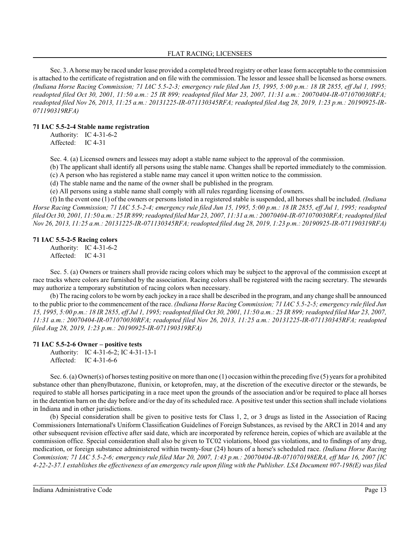Sec. 3. A horse may be raced under lease provided a completed breed registry or other lease formacceptable to the commission is attached to the certificate of registration and on file with the commission. The lessor and lessee shall be licensed as horse owners. *(Indiana Horse Racing Commission; 71 IAC 5.5-2-3; emergency rule filed Jun 15, 1995, 5:00 p.m.: 18 IR 2855, eff Jul 1, 1995; readopted filed Oct 30, 2001, 11:50 a.m.: 25 IR 899; readopted filed Mar 23, 2007, 11:31 a.m.: 20070404-IR-071070030RFA; readopted filed Nov 26, 2013, 11:25 a.m.: 20131225-IR-071130345RFA; readopted filed Aug 28, 2019, 1:23 p.m.: 20190925-IR-071190319RFA)*

# **71 IAC 5.5-2-4 Stable name registration**

Authority: IC 4-31-6-2 Affected: IC 4-31

Sec. 4. (a) Licensed owners and lessees may adopt a stable name subject to the approval of the commission.

(b) The applicant shall identify all persons using the stable name. Changes shall be reported immediately to the commission.

(c) A person who has registered a stable name may cancel it upon written notice to the commission.

(d) The stable name and the name of the owner shall be published in the program.

(e) All persons using a stable name shall comply with all rules regarding licensing of owners.

(f) In the event one (1) of the owners or persons listed in a registered stable is suspended, all horses shall be included. *(Indiana Horse Racing Commission; 71 IAC 5.5-2-4; emergency rule filed Jun 15, 1995, 5:00 p.m.: 18 IR 2855, eff Jul 1, 1995; readopted filed Oct 30, 2001, 11:50 a.m.: 25 IR 899;readopted filed Mar 23, 2007, 11:31 a.m.: 20070404-IR-071070030RFA; readopted filed Nov 26, 2013, 11:25 a.m.: 20131225-IR-071130345RFA; readopted filed Aug 28, 2019, 1:23 p.m.: 20190925-IR-071190319RFA)*

#### **71 IAC 5.5-2-5 Racing colors**

Authority: IC 4-31-6-2 Affected: IC 4-31

Sec. 5. (a) Owners or trainers shall provide racing colors which may be subject to the approval of the commission except at race tracks where colors are furnished by the association. Racing colors shall be registered with the racing secretary. The stewards may authorize a temporary substitution of racing colors when necessary.

(b) The racing colors to be worn by each jockey in a race shall be described in the program, and any change shall be announced to the public prior to the commencement of the race. *(Indiana Horse Racing Commission; 71 IAC 5.5-2-5; emergency rule filed Jun 15, 1995, 5:00 p.m.: 18 IR 2855, eff Jul 1, 1995; readopted filed Oct 30, 2001, 11:50 a.m.: 25 IR 899;readopted filed Mar 23, 2007, 11:31 a.m.: 20070404-IR-071070030RFA; readopted filed Nov 26, 2013, 11:25 a.m.: 20131225-IR-071130345RFA; readopted filed Aug 28, 2019, 1:23 p.m.: 20190925-IR-071190319RFA)*

#### **71 IAC 5.5-2-6 Owner – positive tests**

Authority: IC 4-31-6-2; IC 4-31-13-1 Affected: IC 4-31-6-6

Sec. 6. (a) Owner(s) of horses testing positive on more than one (1) occasion within the preceding five (5) years for a prohibited substance other than phenylbutazone, flunixin, or ketoprofen, may, at the discretion of the executive director or the stewards, be required to stable all horses participating in a race meet upon the grounds of the association and/or be required to place all horses in the detention barn on the day before and/or the day of its scheduled race. A positive test under thissection shall include violations in Indiana and in other jurisdictions.

(b) Special consideration shall be given to positive tests for Class 1, 2, or 3 drugs as listed in the Association of Racing Commissioners International's Uniform Classification Guidelines of Foreign Substances, as revised by the ARCI in 2014 and any other subsequent revision effective after said date, which are incorporated by reference herein, copies of which are available at the commission office. Special consideration shall also be given to TC02 violations, blood gas violations, and to findings of any drug, medication, or foreign substance administered within twenty-four (24) hours of a horse's scheduled race. *(Indiana Horse Racing Commission; 71 IAC 5.5-2-6; emergency rule filed Mar 20, 2007, 1:43 p.m.: 20070404-IR-071070198ERA, eff Mar 16, 2007 [IC 4-22-2-37.1 establishes the effectiveness of an emergency rule upon filing with the Publisher. LSA Document #07-198(E) was filed*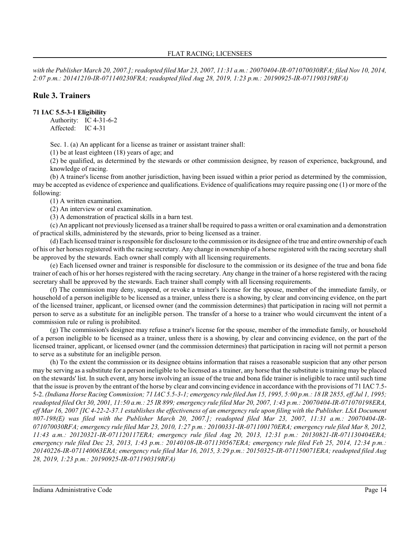*with the Publisher March 20, 2007.]; readopted filed Mar 23, 2007, 11:31 a.m.: 20070404-IR-071070030RFA; filed Nov 10, 2014, 2:07 p.m.: 20141210-IR-071140230FRA; readopted filed Aug 28, 2019, 1:23 p.m.: 20190925-IR-071190319RFA)*

# **Rule 3. Trainers**

# **71 IAC 5.5-3-1 Eligibility**

Authority: IC 4-31-6-2 Affected: IC 4-31

Sec. 1. (a) An applicant for a license as trainer or assistant trainer shall:

(1) be at least eighteen (18) years of age; and

(2) be qualified, as determined by the stewards or other commission designee, by reason of experience, background, and knowledge of racing.

(b) A trainer's license from another jurisdiction, having been issued within a prior period as determined by the commission, may be accepted as evidence of experience and qualifications. Evidence of qualifications may require passing one (1) or more of the following:

(1) A written examination.

(2) An interview or oral examination.

(3) A demonstration of practical skills in a barn test.

(c) An applicant not previously licensed as a trainer shall be required to pass a written or oral examination and a demonstration of practical skills, administered by the stewards, prior to being licensed as a trainer.

(d) Each licensed trainer is responsible for disclosure to the commission or its designee of the true and entire ownership of each of his or her horses registered with the racing secretary. Any change in ownership of a horse registered with the racing secretary shall be approved by the stewards. Each owner shall comply with all licensing requirements.

(e) Each licensed owner and trainer is responsible for disclosure to the commission or its designee of the true and bona fide trainer of each of his or her horses registered with the racing secretary. Any change in the trainer of a horse registered with the racing secretary shall be approved by the stewards. Each trainer shall comply with all licensing requirements.

(f) The commission may deny, suspend, or revoke a trainer's license for the spouse, member of the immediate family, or household of a person ineligible to be licensed as a trainer, unless there is a showing, by clear and convincing evidence, on the part of the licensed trainer, applicant, or licensed owner (and the commission determines) that participation in racing will not permit a person to serve as a substitute for an ineligible person. The transfer of a horse to a trainer who would circumvent the intent of a commission rule or ruling is prohibited.

(g) The commission's designee may refuse a trainer's license for the spouse, member of the immediate family, or household of a person ineligible to be licensed as a trainer, unless there is a showing, by clear and convincing evidence, on the part of the licensed trainer, applicant, or licensed owner (and the commission determines) that participation in racing will not permit a person to serve as a substitute for an ineligible person.

(h) To the extent the commission or its designee obtains information that raises a reasonable suspicion that any other person may be serving as a substitute for a person ineligible to be licensed as a trainer, any horse that the substitute is training may be placed on the stewards' list. In such event, any horse involving an issue of the true and bona fide trainer is ineligible to race until such time that the issue is proven by the entrant of the horse by clear and convincing evidence in accordance with the provisions of 71 IAC 7.5- 5-2. *(Indiana Horse Racing Commission; 71 IAC 5.5-3-1; emergency rule filed Jun 15, 1995, 5:00 p.m.: 18 IR 2855, eff Jul 1, 1995; readopted filed Oct 30, 2001, 11:50 a.m.: 25 IR 899; emergency rule filed Mar 20, 2007, 1:43 p.m.: 20070404-IR-071070198ERA, eff Mar 16, 2007 [IC 4-22-2-37.1 establishes the effectiveness of an emergency rule upon filing with the Publisher. LSA Document #07-198(E) was filed with the Publisher March 20, 2007.]; readopted filed Mar 23, 2007, 11:31 a.m.: 20070404-IR-071070030RFA; emergency rule filed Mar 23, 2010, 1:27 p.m.: 20100331-IR-071100170ERA; emergency rule filed Mar 8, 2012, 11:43 a.m.: 20120321-IR-071120117ERA; emergency rule filed Aug 20, 2013, 12:31 p.m.: 20130821-IR-071130404ERA; emergency rule filed Dec 23, 2013, 1:43 p.m.: 20140108-IR-071130567ERA; emergency rule filed Feb 25, 2014, 12:34 p.m.: 20140226-IR-071140063ERA; emergency rule filed Mar 16, 2015, 3:29 p.m.: 20150325-IR-071150071ERA; readopted filed Aug 28, 2019, 1:23 p.m.: 20190925-IR-071190319RFA)*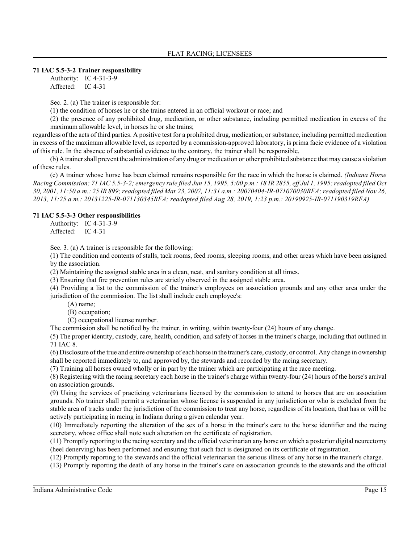### **71 IAC 5.5-3-2 Trainer responsibility**

Authority: IC 4-31-3-9 Affected: IC 4-31

Sec. 2. (a) The trainer is responsible for:

(1) the condition of horses he or she trains entered in an official workout or race; and

(2) the presence of any prohibited drug, medication, or other substance, including permitted medication in excess of the maximum allowable level, in horses he or she trains;

regardless of the acts of third parties. A positive test for a prohibited drug, medication, or substance, including permitted medication in excess of the maximum allowable level, as reported by a commission-approved laboratory, is prima facie evidence of a violation of this rule. In the absence of substantial evidence to the contrary, the trainer shall be responsible.

(b) A trainer shall prevent the administration of any drug or medication or other prohibited substance that may cause a violation of these rules.

(c) A trainer whose horse has been claimed remains responsible for the race in which the horse is claimed. *(Indiana Horse Racing Commission; 71 IAC 5.5-3-2; emergency rule filed Jun 15, 1995, 5:00 p.m.: 18 IR 2855, eff Jul 1, 1995; readopted filed Oct 30, 2001, 11:50 a.m.: 25 IR 899;readopted filed Mar 23, 2007, 11:31 a.m.: 20070404-IR-071070030RFA; readopted filed Nov 26, 2013, 11:25 a.m.: 20131225-IR-071130345RFA; readopted filed Aug 28, 2019, 1:23 p.m.: 20190925-IR-071190319RFA)*

#### **71 IAC 5.5-3-3 Other responsibilities**

Authority: IC 4-31-3-9 Affected: IC 4-31

Sec. 3. (a) A trainer is responsible for the following:

(1) The condition and contents of stalls, tack rooms, feed rooms, sleeping rooms, and other areas which have been assigned by the association.

(2) Maintaining the assigned stable area in a clean, neat, and sanitary condition at all times.

(3) Ensuring that fire prevention rules are strictly observed in the assigned stable area.

(4) Providing a list to the commission of the trainer's employees on association grounds and any other area under the jurisdiction of the commission. The list shall include each employee's:

(A) name;

(B) occupation;

(C) occupational license number.

The commission shall be notified by the trainer, in writing, within twenty-four (24) hours of any change.

(5) The proper identity, custody, care, health, condition, and safety of horses in the trainer's charge, including that outlined in 71 IAC 8.

(6) Disclosure of the true and entire ownership of each horse in the trainer's care, custody, or control. Any change in ownership shall be reported immediately to, and approved by, the stewards and recorded by the racing secretary.

(7) Training all horses owned wholly or in part by the trainer which are participating at the race meeting.

(8) Registering with the racing secretary each horse in the trainer's charge within twenty-four (24) hours of the horse's arrival on association grounds.

(9) Using the services of practicing veterinarians licensed by the commission to attend to horses that are on association grounds. No trainer shall permit a veterinarian whose license is suspended in any jurisdiction or who is excluded from the stable area of tracks under the jurisdiction of the commission to treat any horse, regardless of its location, that has or will be actively participating in racing in Indiana during a given calendar year.

(10) Immediately reporting the alteration of the sex of a horse in the trainer's care to the horse identifier and the racing secretary, whose office shall note such alteration on the certificate of registration.

(11) Promptly reporting to the racing secretary and the official veterinarian any horse on which a posterior digital neurectomy (heel denerving) has been performed and ensuring that such fact is designated on its certificate of registration.

(12) Promptly reporting to the stewards and the official veterinarian the serious illness of any horse in the trainer's charge.

(13) Promptly reporting the death of any horse in the trainer's care on association grounds to the stewards and the official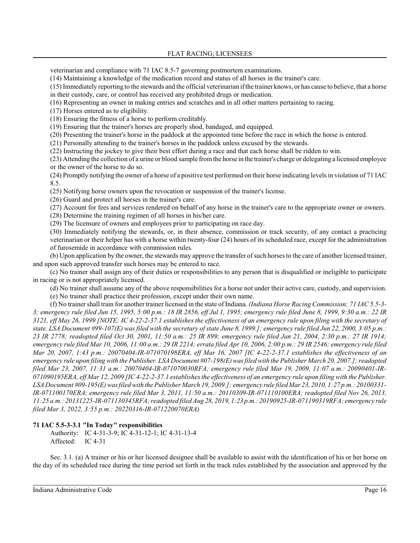veterinarian and compliance with 71 IAC 8.5-7 governing postmortem examinations.

(14) Maintaining a knowledge of the medication record and status of all horses in the trainer's care.

(15) Immediately reporting to the stewards and the official veterinarian if the trainer knows, or has cause to believe, that a horse in their custody, care, or control has received any prohibited drugs or medication.

(16) Representing an owner in making entries and scratches and in all other matters pertaining to racing.

(17) Horses entered as to eligibility.

(18) Ensuring the fitness of a horse to perform creditably.

(19) Ensuring that the trainer's horses are properly shod, bandaged, and equipped.

(20) Presenting the trainer's horse in the paddock at the appointed time before the race in which the horse is entered.

(21) Personally attending to the trainer's horses in the paddock unless excused by the stewards.

(22) Instructing the jockey to give their best effort during a race and that each horse shall be ridden to win.

(23) Attending the collection of a urine or blood sample fromthe horse in the trainer's charge or delegating a licensed employee or the owner of the horse to do so.

(24) Promptly notifying the owner of a horse of a positive test performed on their horse indicating levels in violation of 71 IAC 8.5.

(25) Notifying horse owners upon the revocation or suspension of the trainer's license.

(26) Guard and protect all horses in the trainer's care.

(27) Account for fees and services rendered on behalf of any horse in the trainer's care to the appropriate owner or owners.

(28) Determine the training regimen of all horses in his/her care.

(29) The licensure of owners and employees prior to participating on race day.

(30) Immediately notifying the stewards, or, in their absence, commission or track security, of any contact a practicing veterinarian or their helper has with a horse within twenty-four (24) hours of its scheduled race, except for the administration of furosemide in accordance with commission rules.

(b) Upon application by the owner, the stewards may approve the transfer of such horses to the care of another licensed trainer, and upon such approved transfer such horses may be entered to race.

(c) No trainer shall assign any of their duties or responsibilities to any person that is disqualified or ineligible to participate in racing or is not appropriately licensed.

(d) No trainer shall assume any of the above responsibilities for a horse not under their active care, custody, and supervision.

(e) No trainer shall practice their profession, except under their own name.

(f) No trainer shall train for another trainer licensed in the state of Indiana. *(Indiana Horse Racing Commission; 71 IAC 5.5-3- 3; emergency rule filed Jun 15, 1995, 5:00 p.m.: 18 IR 2856, eff Jul 1, 1995; emergency rule filed June 8, 1999, 9:30 a.m.: 22 IR 3121, eff May 26, 1999 [NOTE: IC 4-22-2-37.1 establishes the effectiveness of an emergency rule upon filing with the secretary of state. LSA Document #99-107(E) was filed with the secretary of state June 8, 1999.]; emergency rule filed Jun 22, 2000, 3:05 p.m.: 23 IR 2778; readopted filed Oct 30, 2001, 11:50 a.m.: 25 IR 899; emergency rule filed Jan 21, 2004, 2:30 p.m.: 27 IR 1914; emergency rule filed Mar 10, 2006, 11:00 a.m.: 29 IR 2214; errata filed Apr 10, 2006, 2:00 p.m.: 29 IR 2546; emergency rule filed Mar 20, 2007, 1:43 p.m.: 20070404-IR-071070198ERA, eff Mar 16, 2007 [IC 4-22-2-37.1 establishes the effectiveness of an emergency rule upon filing with the Publisher. LSA Document #07-198(E) was filed with the Publisher March 20, 2007.]; readopted filed Mar 23, 2007, 11:31 a.m.: 20070404-IR-071070030RFA; emergency rule filed Mar 19, 2009, 11:07 a.m.: 20090401-IR-071090195ERA, eff Mar 12, 2009 [IC 4-22-2-37.1 establishes the effectiveness of an emergency rule upon filing with the Publisher. LSA Document #09-195(E)was filed with the Publisher March 19, 2009.]; emergency rule filed Mar 23, 2010, 1:27 p.m.: 20100331- IR-071100170ERA; emergency rule filed Mar 3, 2011, 11:50 a.m.: 20110309-IR-071110100ERA; readopted filed Nov 26, 2013, 11:25 a.m.: 20131225-IR-071130345RFA; readopted filed Aug 28, 2019, 1:23 p.m.: 20190925-IR-071190319RFA; emergency rule filed Mar 3, 2022, 3:55 p.m.: 20220316-IR-071220070ERA)*

# **71 IAC 5.5-3-3.1 "In Today" responsibilities**

Authority: IC 4-31-3-9; IC 4-31-12-1; IC 4-31-13-4 Affected: IC 4-31

Sec. 3.1. (a) A trainer or his or her licensed designee shall be available to assist with the identification of his or her horse on the day of its scheduled race during the time period set forth in the track rules established by the association and approved by the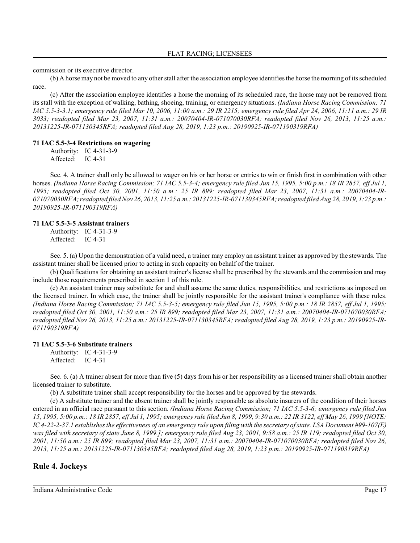commission or its executive director.

(b) A horse may not be moved to any other stall after the association employee identifiesthe horse the morning of its scheduled race.

(c) After the association employee identifies a horse the morning of its scheduled race, the horse may not be removed from its stall with the exception of walking, bathing, shoeing, training, or emergency situations. *(Indiana Horse Racing Commission; 71 IAC 5.5-3-3.1; emergency rule filed Mar 10, 2006, 11:00 a.m.: 29 IR 2215; emergency rule filed Apr 24, 2006, 11:11 a.m.: 29 IR 3033; readopted filed Mar 23, 2007, 11:31 a.m.: 20070404-IR-071070030RFA; readopted filed Nov 26, 2013, 11:25 a.m.: 20131225-IR-071130345RFA; readopted filed Aug 28, 2019, 1:23 p.m.: 20190925-IR-071190319RFA)*

#### **71 IAC 5.5-3-4 Restrictions on wagering**

Authority: IC 4-31-3-9 Affected: IC 4-31

Sec. 4. A trainer shall only be allowed to wager on his or her horse or entries to win or finish first in combination with other horses. *(Indiana Horse Racing Commission; 71 IAC 5.5-3-4; emergency rule filed Jun 15, 1995, 5:00 p.m.: 18 IR 2857, eff Jul 1, 1995; readopted filed Oct 30, 2001, 11:50 a.m.: 25 IR 899; readopted filed Mar 23, 2007, 11:31 a.m.: 20070404-IR-071070030RFA; readopted filed Nov 26, 2013, 11:25 a.m.: 20131225-IR-071130345RFA; readopted filed Aug 28, 2019, 1:23 p.m.: 20190925-IR-071190319RFA)*

#### **71 IAC 5.5-3-5 Assistant trainers**

Authority: IC 4-31-3-9 Affected: IC 4-31

Sec. 5. (a) Upon the demonstration of a valid need, a trainer may employ an assistant trainer as approved by the stewards. The assistant trainer shall be licensed prior to acting in such capacity on behalf of the trainer.

(b) Qualifications for obtaining an assistant trainer's license shall be prescribed by the stewards and the commission and may include those requirements prescribed in section 1 of this rule.

(c) An assistant trainer may substitute for and shall assume the same duties, responsibilities, and restrictions as imposed on the licensed trainer. In which case, the trainer shall be jointly responsible for the assistant trainer's compliance with these rules. *(Indiana Horse Racing Commission; 71 IAC 5.5-3-5; emergency rule filed Jun 15, 1995, 5:00 p.m.: 18 IR 2857, eff Jul 1, 1995; readopted filed Oct 30, 2001, 11:50 a.m.: 25 IR 899; readopted filed Mar 23, 2007, 11:31 a.m.: 20070404-IR-071070030RFA; readopted filed Nov 26, 2013, 11:25 a.m.: 20131225-IR-071130345RFA; readopted filed Aug 28, 2019, 1:23 p.m.: 20190925-IR-071190319RFA)*

#### **71 IAC 5.5-3-6 Substitute trainers**

Authority: IC 4-31-3-9 Affected: IC 4-31

Sec. 6. (a) A trainer absent for more than five (5) days from his or her responsibility as a licensed trainer shall obtain another licensed trainer to substitute.

(b) A substitute trainer shall accept responsibility for the horses and be approved by the stewards.

(c) A substitute trainer and the absent trainer shall be jointly responsible as absolute insurers of the condition of their horses entered in an official race pursuant to this section. *(Indiana Horse Racing Commission; 71 IAC 5.5-3-6; emergency rule filed Jun 15, 1995, 5:00 p.m.: 18 IR 2857, eff Jul 1, 1995; emergency rule filed Jun 8, 1999, 9:30 a.m.: 22 IR 3122, eff May 26, 1999 [NOTE: IC 4-22-2-37.1 establishes the effectiveness of an emergency rule upon filing with the secretary of state. LSA Document #99-107(E) was filed with secretary of state June 8, 1999.]; emergency rule filed Aug 23, 2001, 9:58 a.m.: 25 IR 119; readopted filed Oct 30, 2001, 11:50 a.m.: 25 IR 899; readopted filed Mar 23, 2007, 11:31 a.m.: 20070404-IR-071070030RFA; readopted filed Nov 26, 2013, 11:25 a.m.: 20131225-IR-071130345RFA; readopted filed Aug 28, 2019, 1:23 p.m.: 20190925-IR-071190319RFA)*

# **Rule 4. Jockeys**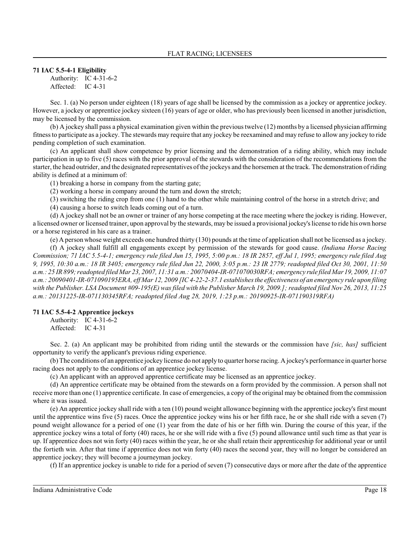#### **71 IAC 5.5-4-1 Eligibility**

Authority: IC 4-31-6-2 Affected: IC 4-31

Sec. 1. (a) No person under eighteen (18) years of age shall be licensed by the commission as a jockey or apprentice jockey. However, a jockey or apprentice jockey sixteen (16) years of age or older, who has previously been licensed in another jurisdiction, may be licensed by the commission.

(b) A jockey shall pass a physical examination given within the previous twelve (12) months by a licensed physician affirming fitness to participate as a jockey. The stewards may require that any jockey be reexamined and may refuse to allow any jockey to ride pending completion of such examination.

(c) An applicant shall show competence by prior licensing and the demonstration of a riding ability, which may include participation in up to five (5) races with the prior approval of the stewards with the consideration of the recommendations from the starter, the head outrider, and the designated representatives of the jockeys and the horsemen at the track. The demonstration of riding ability is defined at a minimum of:

(1) breaking a horse in company from the starting gate;

(2) working a horse in company around the turn and down the stretch;

(3) switching the riding crop from one (1) hand to the other while maintaining control of the horse in a stretch drive; and

(4) causing a horse to switch leads coming out of a turn.

(d) A jockey shall not be an owner or trainer of any horse competing at the race meeting where the jockey is riding. However, a licensed owner or licensed trainer, upon approval by the stewards, may be issued a provisional jockey's license to ride his own horse or a horse registered in his care as a trainer.

(e) A person whose weight exceeds one hundred thirty (130) pounds at the time of application shall not be licensed as a jockey.

(f) A jockey shall fulfill all engagements except by permission of the stewards for good cause. *(Indiana Horse Racing Commission; 71 IAC 5.5-4-1; emergency rule filed Jun 15, 1995, 5:00 p.m.: 18 IR 2857, eff Jul 1, 1995; emergency rule filed Aug 9, 1995, 10:30 a.m.: 18 IR 3405; emergency rule filed Jun 22, 2000, 3:05 p.m.: 23 IR 2779; readopted filed Oct 30, 2001, 11:50 a.m.: 25 IR 899;readopted filed Mar 23, 2007, 11:31 a.m.: 20070404-IR-071070030RFA; emergency rule filed Mar19, 2009, 11:07 a.m.: 20090401-IR-071090195ERA, eff Mar 12, 2009 [IC 4-22-2-37.1 establishes the effectiveness of an emergency rule upon filing with the Publisher. LSA Document #09-195(E) was filed with the Publisher March 19, 2009.]; readopted filed Nov 26, 2013, 11:25 a.m.: 20131225-IR-071130345RFA; readopted filed Aug 28, 2019, 1:23 p.m.: 20190925-IR-071190319RFA)*

# **71 IAC 5.5-4-2 Apprentice jockeys**

Authority: IC 4-31-6-2 Affected: IC 4-31

Sec. 2. (a) An applicant may be prohibited from riding until the stewards or the commission have *[sic, has]* sufficient opportunity to verify the applicant's previous riding experience.

(b) The conditions of an apprentice jockey license do not apply to quarter horse racing. A jockey's performance in quarter horse racing does not apply to the conditions of an apprentice jockey license.

(c) An applicant with an approved apprentice certificate may be licensed as an apprentice jockey.

(d) An apprentice certificate may be obtained from the stewards on a form provided by the commission. A person shall not receive more than one (1) apprentice certificate. In case of emergencies, a copy of the original may be obtained from the commission where it was issued.

(e) An apprentice jockey shall ride with a ten (10) pound weight allowance beginning with the apprentice jockey's first mount until the apprentice wins five (5) races. Once the apprentice jockey wins his or her fifth race, he or she shall ride with a seven (7) pound weight allowance for a period of one (1) year from the date of his or her fifth win. During the course of this year, if the apprentice jockey wins a total of forty (40) races, he or she will ride with a five (5) pound allowance until such time as that year is up. If apprentice does not win forty (40) races within the year, he or she shall retain their apprenticeship for additional year or until the fortieth win. After that time if apprentice does not win forty (40) races the second year, they will no longer be considered an apprentice jockey; they will become a journeyman jockey.

(f) If an apprentice jockey is unable to ride for a period of seven (7) consecutive days or more after the date of the apprentice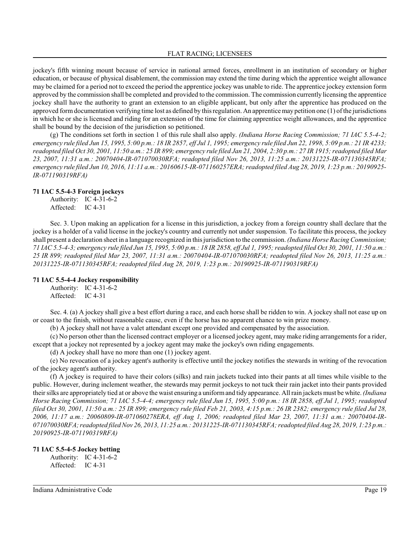jockey's fifth winning mount because of service in national armed forces, enrollment in an institution of secondary or higher education, or because of physical disablement, the commission may extend the time during which the apprentice weight allowance may be claimed for a period not to exceed the period the apprentice jockey was unable to ride. The apprentice jockey extension form approved by the commission shall be completed and provided to the commission. The commission currently licensing the apprentice jockey shall have the authority to grant an extension to an eligible applicant, but only after the apprentice has produced on the approved form documentation verifying time lost as defined by this regulation. An apprentice may petition one (1) of the jurisdictions in which he or she is licensed and riding for an extension of the time for claiming apprentice weight allowances, and the apprentice shall be bound by the decision of the jurisdiction so petitioned.

(g) The conditions set forth in section 1 of this rule shall also apply. *(Indiana Horse Racing Commission; 71 IAC 5.5-4-2; emergency rule filed Jun 15, 1995, 5:00 p.m.: 18 IR 2857, eff Jul 1, 1995; emergency rule filed Jun 22, 1998, 5:09 p.m.: 21 IR 4233; readopted filed Oct 30, 2001, 11:50 a.m.: 25 IR 899; emergency rule filed Jan 21, 2004, 2:30 p.m.: 27 IR 1915; readopted filed Mar 23, 2007, 11:31 a.m.: 20070404-IR-071070030RFA; readopted filed Nov 26, 2013, 11:25 a.m.: 20131225-IR-071130345RFA; emergency rule filed Jun 10, 2016, 11:11 a.m.: 20160615-IR-071160257ERA; readopted filed Aug 28, 2019, 1:23 p.m.: 20190925- IR-071190319RFA)*

#### **71 IAC 5.5-4-3 Foreign jockeys**

Authority: IC 4-31-6-2 Affected: IC 4-31

Sec. 3. Upon making an application for a license in this jurisdiction, a jockey from a foreign country shall declare that the jockey is a holder of a valid license in the jockey's country and currently not under suspension. To facilitate this process, the jockey shall present a declaration sheet in a language recognized in thisjurisdiction to the commission. *(Indiana Horse Racing Commission; 71 IAC 5.5-4-3; emergency rule filed Jun 15, 1995, 5:00 p.m.: 18 IR 2858, eff Jul 1, 1995; readopted filed Oct 30, 2001, 11:50 a.m.: 25 IR 899; readopted filed Mar 23, 2007, 11:31 a.m.: 20070404-IR-071070030RFA; readopted filed Nov 26, 2013, 11:25 a.m.: 20131225-IR-071130345RFA; readopted filed Aug 28, 2019, 1:23 p.m.: 20190925-IR-071190319RFA)*

# **71 IAC 5.5-4-4 Jockey responsibility**

Authority: IC 4-31-6-2 Affected: IC 4-31

Sec. 4. (a) A jockey shall give a best effort during a race, and each horse shall be ridden to win. A jockey shall not ease up on or coast to the finish, without reasonable cause, even if the horse has no apparent chance to win prize money.

(b) A jockey shall not have a valet attendant except one provided and compensated by the association.

(c) No person other than the licensed contract employer or a licensed jockey agent, may make riding arrangements for a rider, except that a jockey not represented by a jockey agent may make the jockey's own riding engagements.

(d) A jockey shall have no more than one (1) jockey agent.

(e) No revocation of a jockey agent's authority is effective until the jockey notifies the stewards in writing of the revocation of the jockey agent's authority.

(f) A jockey is required to have their colors (silks) and rain jackets tucked into their pants at all times while visible to the public. However, during inclement weather, the stewards may permit jockeys to not tuck their rain jacket into their pants provided their silks are appropriately tied at or above the waist ensuring a uniformand tidy appearance. All rain jackets must be white. *(Indiana Horse Racing Commission; 71 IAC 5.5-4-4; emergency rule filed Jun 15, 1995, 5:00 p.m.: 18 IR 2858, eff Jul 1, 1995; readopted filed Oct 30, 2001, 11:50 a.m.: 25 IR 899; emergency rule filed Feb 21, 2003, 4:15 p.m.: 26 IR 2382; emergency rule filed Jul 28, 2006, 11:17 a.m.: 20060809-IR-071060278ERA, eff Aug 1, 2006; readopted filed Mar 23, 2007, 11:31 a.m.: 20070404-IR-071070030RFA; readopted filed Nov 26, 2013, 11:25 a.m.: 20131225-IR-071130345RFA; readopted filed Aug 28, 2019, 1:23 p.m.: 20190925-IR-071190319RFA)*

#### **71 IAC 5.5-4-5 Jockey betting**

Authority: IC 4-31-6-2 Affected: IC 4-31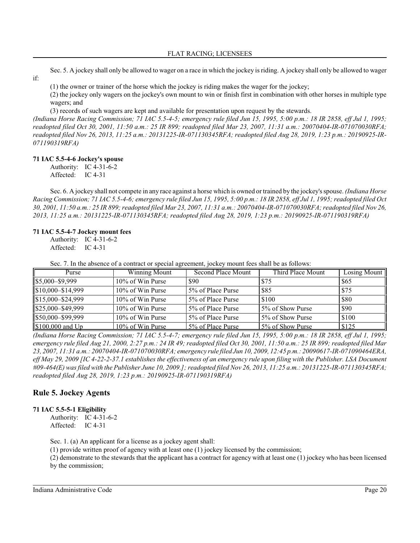Sec. 5. A jockey shall only be allowed to wager on a race in which the jockey is riding. A jockey shall only be allowed to wager

(1) the owner or trainer of the horse which the jockey is riding makes the wager for the jockey;

(2) the jockey only wagers on the jockey's own mount to win or finish first in combination with other horses in multiple type wagers; and

(3) records of such wagers are kept and available for presentation upon request by the stewards.

*(Indiana Horse Racing Commission; 71 IAC 5.5-4-5; emergency rule filed Jun 15, 1995, 5:00 p.m.: 18 IR 2858, eff Jul 1, 1995; readopted filed Oct 30, 2001, 11:50 a.m.: 25 IR 899; readopted filed Mar 23, 2007, 11:31 a.m.: 20070404-IR-071070030RFA; readopted filed Nov 26, 2013, 11:25 a.m.: 20131225-IR-071130345RFA; readopted filed Aug 28, 2019, 1:23 p.m.: 20190925-IR-071190319RFA)*

# **71 IAC 5.5-4-6 Jockey's spouse**

if:

Authority: IC 4-31-6-2

Affected: IC 4-31

Sec. 6. A jockey shall not compete in any race against a horse which is owned or trained by the jockey's spouse. *(Indiana Horse Racing Commission; 71 IAC 5.5-4-6; emergency rule filed Jun 15, 1995, 5:00 p.m.: 18 IR 2858, eff Jul 1, 1995; readopted filed Oct 30, 2001, 11:50 a.m.: 25 IR 899;readopted filed Mar 23, 2007, 11:31 a.m.: 20070404-IR-071070030RFA; readopted filed Nov 26, 2013, 11:25 a.m.: 20131225-IR-071130345RFA; readopted filed Aug 28, 2019, 1:23 p.m.: 20190925-IR-071190319RFA)*

#### **71 IAC 5.5-4-7 Jockey mount fees**

Authority: IC 4-31-6-2 Affected: IC 4-31

Sec. 7. In the absence of a contract or special agreement, jockey mount fees shall be as follows:

| Purse             | Winning Mount     | Second Place Mount | Third Place Mount | Losing Mount    |
|-------------------|-------------------|--------------------|-------------------|-----------------|
| \$5,000-\$9,999   | 10% of Win Purse  | \$90               | <b>S75</b>        | $\frac{1}{565}$ |
| \$10,000-\$14,999 | 10% of Win Purse  | 5% of Place Purse  | \$85              | \$75            |
| \$15,000-\$24,999 | 10% of Win Purse  | 5% of Place Purse  | \$100             | <b>S80</b>      |
| \$25,000-\$49,999 | 10% of Win Purse  | 5% of Place Purse  | 5% of Show Purse  | \$90            |
| \$50,000-\$99,999 | 10% of Win Purse  | 5% of Place Purse  | 5% of Show Purse  | \$100           |
| \$100,000 and Up  | 10\% of Win Purse | 5% of Place Purse  | 5% of Show Purse  | \$125           |

*(Indiana Horse Racing Commission; 71 IAC 5.5-4-7; emergency rule filed Jun 15, 1995, 5:00 p.m.: 18 IR 2858, eff Jul 1, 1995; emergency rule filed Aug 21, 2000, 2:27 p.m.: 24 IR 49; readopted filed Oct 30, 2001, 11:50 a.m.: 25 IR 899; readopted filed Mar 23, 2007, 11:31 a.m.: 20070404-IR-071070030RFA; emergency rule filed Jun 10, 2009, 12:45 p.m.: 20090617-IR-071090464ERA, eff May 29, 2009 [IC 4-22-2-37.1 establishes the effectiveness of an emergency rule upon filing with the Publisher. LSA Document #09-464(E) was filed with the Publisher June 10, 2009.]; readopted filed Nov 26, 2013, 11:25 a.m.: 20131225-IR-071130345RFA; readopted filed Aug 28, 2019, 1:23 p.m.: 20190925-IR-071190319RFA)*

# **Rule 5. Jockey Agents**

# **71 IAC 5.5-5-1 Eligibility**

Authority: IC 4-31-6-2 Affected: IC 4-31

Sec. 1. (a) An applicant for a license as a jockey agent shall:

(1) provide written proof of agency with at least one (1) jockey licensed by the commission;

(2) demonstrate to the stewards that the applicant has a contract for agency with at least one (1) jockey who has been licensed by the commission;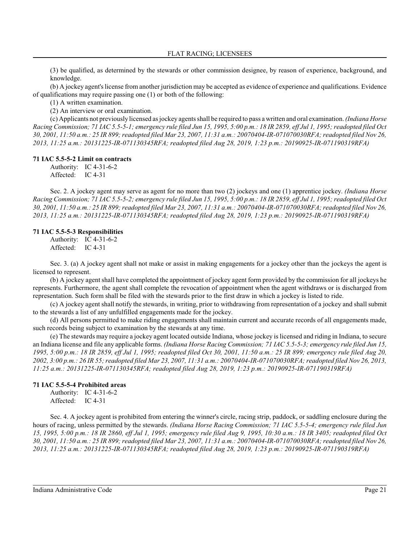(3) be qualified, as determined by the stewards or other commission designee, by reason of experience, background, and knowledge.

(b) A jockey agent's license from another jurisdiction may be accepted as evidence of experience and qualifications. Evidence of qualifications may require passing one (1) or both of the following:

(1) A written examination.

(2) An interview or oral examination.

(c) Applicants not previously licensed as jockey agentsshall be required to pass a written and oral examination. *(Indiana Horse Racing Commission; 71 IAC 5.5-5-1; emergency rule filed Jun 15, 1995, 5:00 p.m.: 18 IR 2859, eff Jul 1, 1995; readopted filed Oct 30, 2001, 11:50 a.m.: 25 IR 899;readopted filed Mar 23, 2007, 11:31 a.m.: 20070404-IR-071070030RFA; readopted filed Nov 26, 2013, 11:25 a.m.: 20131225-IR-071130345RFA; readopted filed Aug 28, 2019, 1:23 p.m.: 20190925-IR-071190319RFA)*

#### **71 IAC 5.5-5-2 Limit on contracts**

Authority: IC 4-31-6-2

Affected: IC 4-31

Sec. 2. A jockey agent may serve as agent for no more than two (2) jockeys and one (1) apprentice jockey. *(Indiana Horse Racing Commission; 71 IAC 5.5-5-2; emergency rule filed Jun 15, 1995, 5:00 p.m.: 18 IR 2859, eff Jul 1, 1995; readopted filed Oct 30, 2001, 11:50 a.m.: 25 IR 899;readopted filed Mar 23, 2007, 11:31 a.m.: 20070404-IR-071070030RFA; readopted filed Nov 26, 2013, 11:25 a.m.: 20131225-IR-071130345RFA; readopted filed Aug 28, 2019, 1:23 p.m.: 20190925-IR-071190319RFA)*

# **71 IAC 5.5-5-3 Responsibilities**

Authority: IC 4-31-6-2 Affected: IC 4-31

Sec. 3. (a) A jockey agent shall not make or assist in making engagements for a jockey other than the jockeys the agent is licensed to represent.

(b) A jockey agent shall have completed the appointment of jockey agent form provided by the commission for all jockeys he represents. Furthermore, the agent shall complete the revocation of appointment when the agent withdraws or is discharged from representation. Such form shall be filed with the stewards prior to the first draw in which a jockey is listed to ride.

(c) A jockey agent shall notify the stewards, in writing, prior to withdrawing from representation of a jockey and shall submit to the stewards a list of any unfulfilled engagements made for the jockey.

(d) All persons permitted to make riding engagements shall maintain current and accurate records of all engagements made, such records being subject to examination by the stewards at any time.

(e) The stewards may require a jockey agent located outside Indiana, whose jockey is licensed and riding in Indiana, to secure an Indiana license and file any applicable forms. *(Indiana Horse Racing Commission; 71 IAC 5.5-5-3; emergency rule filed Jun 15, 1995, 5:00 p.m.: 18 IR 2859, eff Jul 1, 1995; readopted filed Oct 30, 2001, 11:50 a.m.: 25 IR 899; emergency rule filed Aug 20, 2002, 3:00 p.m.: 26 IR 55; readopted filed Mar 23, 2007, 11:31 a.m.: 20070404-IR-071070030RFA; readopted filed Nov 26, 2013, 11:25 a.m.: 20131225-IR-071130345RFA; readopted filed Aug 28, 2019, 1:23 p.m.: 20190925-IR-071190319RFA)*

#### **71 IAC 5.5-5-4 Prohibited areas**

Authority: IC 4-31-6-2 Affected: IC 4-31

Sec. 4. A jockey agent is prohibited from entering the winner's circle, racing strip, paddock, or saddling enclosure during the hours of racing, unless permitted by the stewards. *(Indiana Horse Racing Commission; 71 IAC 5.5-5-4; emergency rule filed Jun 15, 1995, 5:00 p.m.: 18 IR 2860, eff Jul 1, 1995; emergency rule filed Aug 9, 1995, 10:30 a.m.: 18 IR 3405; readopted filed Oct 30, 2001, 11:50 a.m.: 25 IR 899;readopted filed Mar 23, 2007, 11:31 a.m.: 20070404-IR-071070030RFA; readopted filed Nov 26, 2013, 11:25 a.m.: 20131225-IR-071130345RFA; readopted filed Aug 28, 2019, 1:23 p.m.: 20190925-IR-071190319RFA)*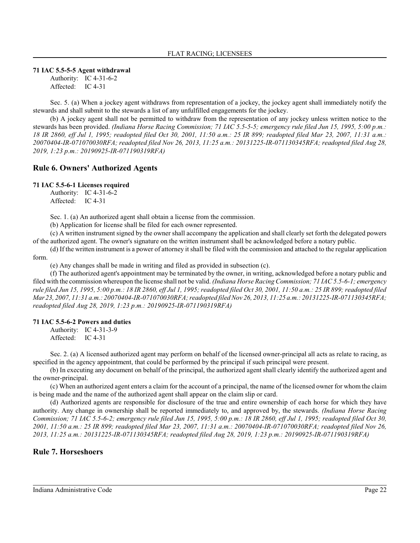#### **71 IAC 5.5-5-5 Agent withdrawal**

Authority: IC 4-31-6-2 Affected: IC 4-31

Sec. 5. (a) When a jockey agent withdraws from representation of a jockey, the jockey agent shall immediately notify the stewards and shall submit to the stewards a list of any unfulfilled engagements for the jockey.

(b) A jockey agent shall not be permitted to withdraw from the representation of any jockey unless written notice to the stewards has been provided. *(Indiana Horse Racing Commission; 71 IAC 5.5-5-5; emergency rule filed Jun 15, 1995, 5:00 p.m.: 18 IR 2860, eff Jul 1, 1995; readopted filed Oct 30, 2001, 11:50 a.m.: 25 IR 899; readopted filed Mar 23, 2007, 11:31 a.m.: 20070404-IR-071070030RFA; readopted filed Nov 26, 2013, 11:25 a.m.: 20131225-IR-071130345RFA; readopted filed Aug 28, 2019, 1:23 p.m.: 20190925-IR-071190319RFA)*

# **Rule 6. Owners' Authorized Agents**

#### **71 IAC 5.5-6-1 Licenses required**

Authority: IC 4-31-6-2 Affected: IC 4-31

Sec. 1. (a) An authorized agent shall obtain a license from the commission.

(b) Application for license shall be filed for each owner represented.

(c) A written instrument signed by the owner shall accompany the application and shall clearly set forth the delegated powers of the authorized agent. The owner's signature on the written instrument shall be acknowledged before a notary public.

(d) If the written instrument is a power of attorney it shall be filed with the commission and attached to the regular application form.

(e) Any changes shall be made in writing and filed as provided in subsection (c).

(f) The authorized agent's appointment may be terminated by the owner, in writing, acknowledged before a notary public and filed with the commission whereupon the license shall not be valid. *(Indiana Horse Racing Commission; 71 IAC 5.5-6-1; emergency rule filed Jun 15, 1995, 5:00 p.m.: 18 IR 2860, eff Jul 1, 1995; readopted filed Oct 30, 2001, 11:50 a.m.: 25 IR 899; readopted filed Mar23, 2007, 11:31 a.m.: 20070404-IR-071070030RFA; readopted filed Nov 26, 2013, 11:25 a.m.: 20131225-IR-071130345RFA; readopted filed Aug 28, 2019, 1:23 p.m.: 20190925-IR-071190319RFA)*

#### **71 IAC 5.5-6-2 Powers and duties**

Authority: IC 4-31-3-9 Affected: IC 4-31

Sec. 2. (a) A licensed authorized agent may perform on behalf of the licensed owner-principal all acts as relate to racing, as specified in the agency appointment, that could be performed by the principal if such principal were present.

(b) In executing any document on behalf of the principal, the authorized agent shall clearly identify the authorized agent and the owner-principal.

(c) When an authorized agent enters a claim for the account of a principal, the name of the licensed owner for whom the claim is being made and the name of the authorized agent shall appear on the claim slip or card.

(d) Authorized agents are responsible for disclosure of the true and entire ownership of each horse for which they have authority. Any change in ownership shall be reported immediately to, and approved by, the stewards. *(Indiana Horse Racing Commission; 71 IAC 5.5-6-2; emergency rule filed Jun 15, 1995, 5:00 p.m.: 18 IR 2860, eff Jul 1, 1995; readopted filed Oct 30, 2001, 11:50 a.m.: 25 IR 899; readopted filed Mar 23, 2007, 11:31 a.m.: 20070404-IR-071070030RFA; readopted filed Nov 26, 2013, 11:25 a.m.: 20131225-IR-071130345RFA; readopted filed Aug 28, 2019, 1:23 p.m.: 20190925-IR-071190319RFA)*

# **Rule 7. Horseshoers**